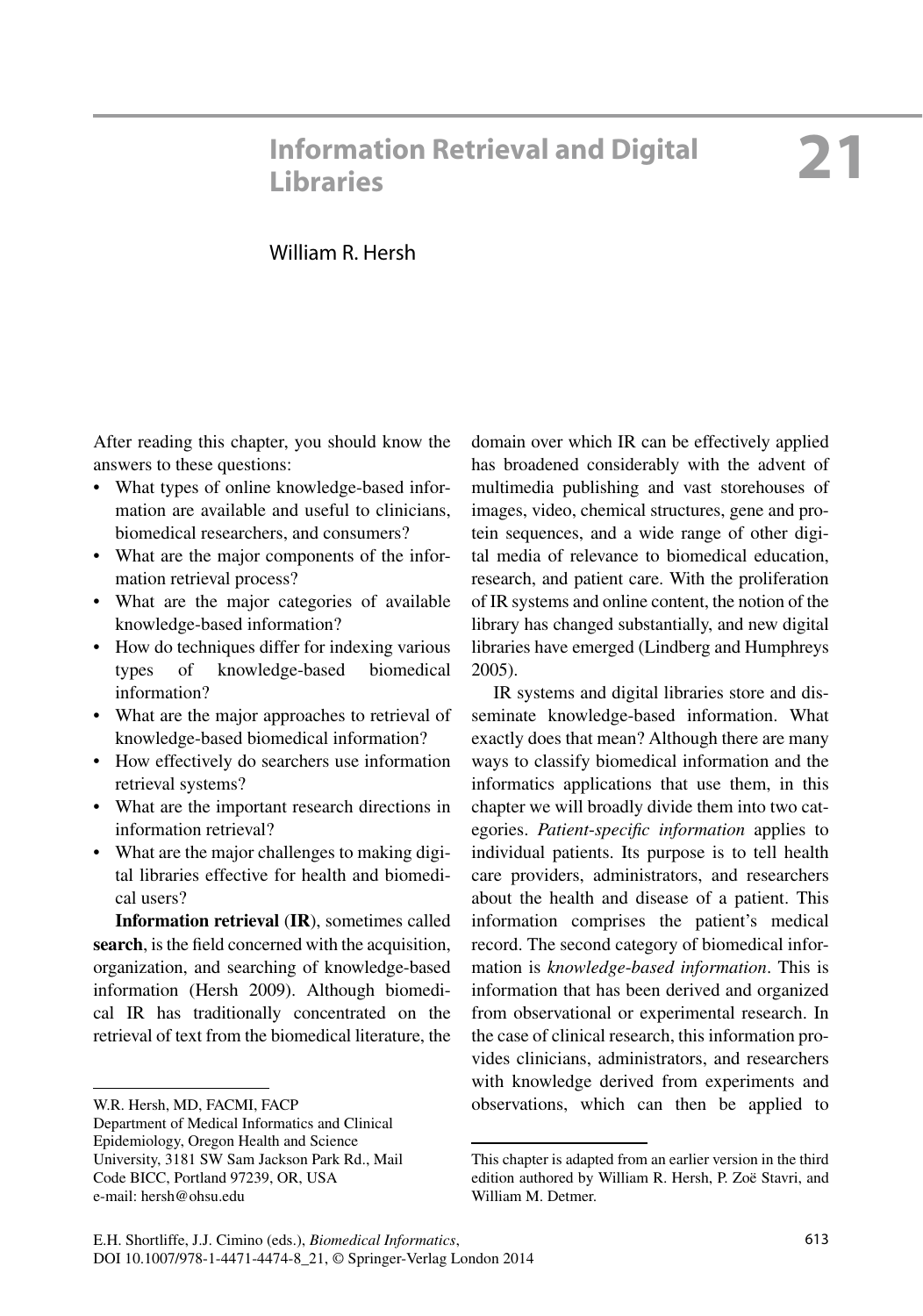# **Information Retrieval and Digital Libraries**

# William R. Hersh

After reading this chapter, you should know the answers to these questions:

- What types of online knowledge-based information are available and useful to clinicians, biomedical researchers, and consumers?
- • What are the major components of the information retrieval process?
- What are the major categories of available knowledge-based information?
- How do techniques differ for indexing various types of knowledge-based biomedical information?
- What are the major approaches to retrieval of knowledge-based biomedical information?
- • How effectively do searchers use information retrieval systems?
- • What are the important research directions in information retrieval?
- What are the major challenges to making digital libraries effective for health and biomedical users?

**Information retrieval** (**IR**), sometimes called **search**, is the field concerned with the acquisition, organization, and searching of knowledge-based information (Hersh 2009). Although biomedical IR has traditionally concentrated on the retrieval of text from the biomedical literature, the

domain over which IR can be effectively applied has broadened considerably with the advent of multimedia publishing and vast storehouses of images, video, chemical structures, gene and protein sequences, and a wide range of other digital media of relevance to biomedical education, research, and patient care. With the proliferation of IR systems and online content, the notion of the library has changed substantially, and new digital libraries have emerged (Lindberg and Humphreys 2005).

IR systems and digital libraries store and disseminate knowledge-based information. What exactly does that mean? Although there are many ways to classify biomedical information and the informatics applications that use them, in this chapter we will broadly divide them into two categories. *Patient*-*specific information* applies to individual patients. Its purpose is to tell health care providers, administrators, and researchers about the health and disease of a patient. This information comprises the patient's medical record. The second category of biomedical information is *knowledge*-*based information*. This is information that has been derived and organized from observational or experimental research. In the case of clinical research, this information provides clinicians, administrators, and researchers with knowledge derived from experiments and W.R. Hersh, MD, FACMI, FACP observations, which can then be applied to

Department of Medical Informatics and Clinical Epidemiology, Oregon Health and Science University, 3181 SW Sam Jackson Park Rd., Mail Code BICC, Portland 97239, OR, USA e-mail: hersh@ohsu.edu

This chapter is adapted from an earlier version in the third edition authored by William R. Hersh, P. Zoë Stavri, and William M. Detmer.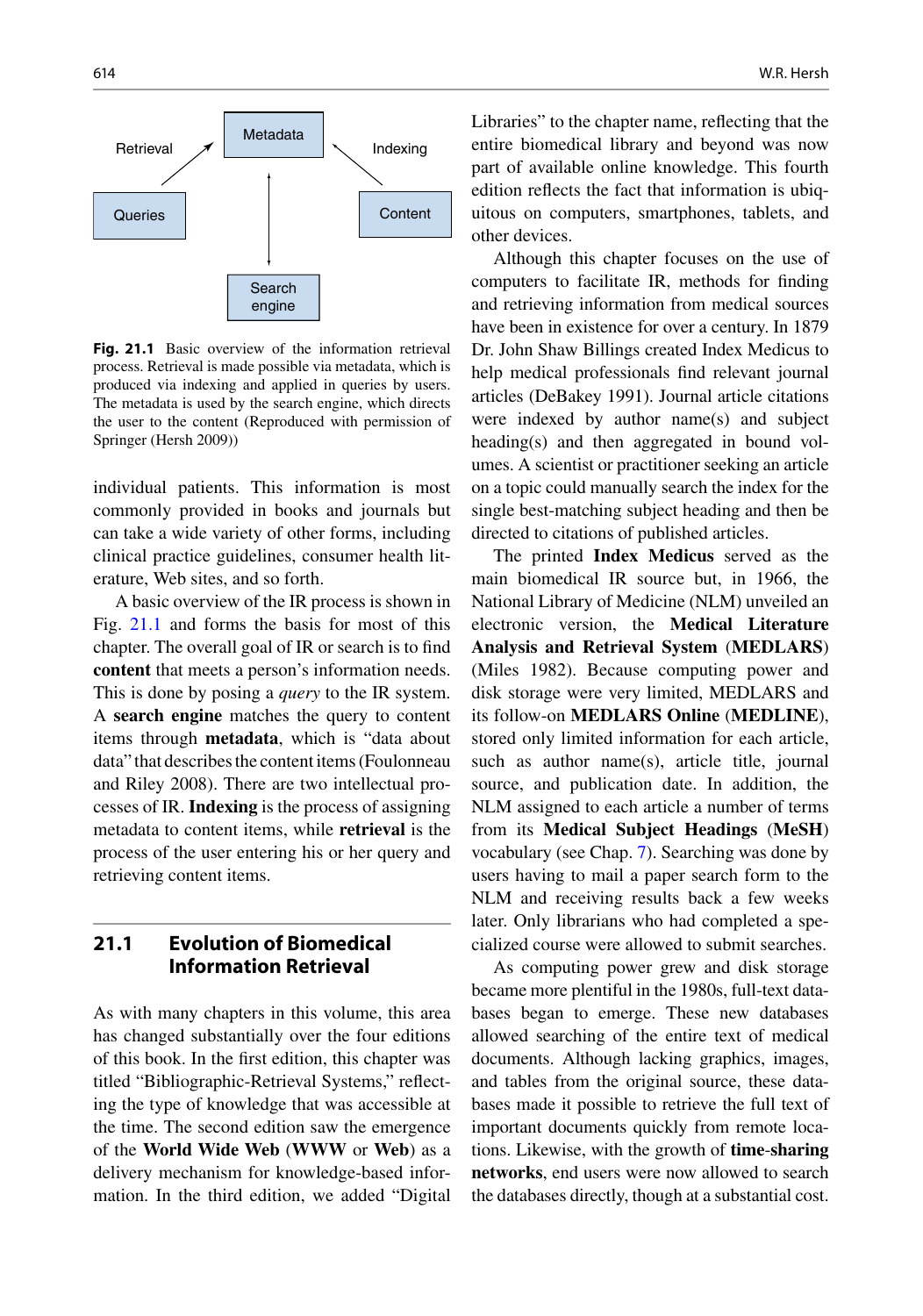<span id="page-1-0"></span>

Fig. 21.1 Basic overview of the information retrieval process. Retrieval is made possible via metadata, which is produced via indexing and applied in queries by users. The metadata is used by the search engine, which directs the user to the content (Reproduced with permission of Springer (Hersh 2009))

individual patients. This information is most commonly provided in books and journals but can take a wide variety of other forms, including clinical practice guidelines, consumer health literature, Web sites, and so forth.

A basic overview of the IR process is shown in Fig. [21.1](#page-1-0) and forms the basis for most of this chapter. The overall goal of IR or search is to find **content** that meets a person's information needs. This is done by posing a *query* to the IR system. A **search engine** matches the query to content items through **metadata**, which is "data about data" that describes the content items (Foulonneau and Riley 2008). There are two intellectual processes of IR. **Indexing** is the process of assigning metadata to content items, while **retrieval** is the process of the user entering his or her query and retrieving content items.

## **21.1 Evolution of Biomedical Information Retrieval**

As with many chapters in this volume, this area has changed substantially over the four editions of this book. In the first edition, this chapter was titled "Bibliographic-Retrieval Systems," reflecting the type of knowledge that was accessible at the time. The second edition saw the emergence of the **World Wide Web** (**WWW** or **Web**) as a delivery mechanism for knowledge-based information. In the third edition, we added "Digital Libraries" to the chapter name, reflecting that the entire biomedical library and beyond was now part of available online knowledge. This fourth edition reflects the fact that information is ubiquitous on computers, smartphones, tablets, and other devices.

Although this chapter focuses on the use of computers to facilitate IR, methods for finding and retrieving information from medical sources have been in existence for over a century. In 1879 Dr. John Shaw Billings created Index Medicus to help medical professionals find relevant journal articles (DeBakey 1991). Journal article citations were indexed by author name(s) and subject heading(s) and then aggregated in bound volumes. A scientist or practitioner seeking an article on a topic could manually search the index for the single best-matching subject heading and then be directed to citations of published articles.

The printed **Index Medicus** served as the main biomedical IR source but, in 1966, the National Library of Medicine (NLM) unveiled an electronic version, the **Medical Literature Analysis and Retrieval System** (**MEDLARS**) (Miles 1982). Because computing power and disk storage were very limited, MEDLARS and its follow-on **MEDLARS Online** (**MEDLINE**), stored only limited information for each article, such as author name(s), article title, journal source, and publication date. In addition, the NLM assigned to each article a number of terms from its **Medical Subject Headings** (**MeSH**) vocabulary (see Chap. [7\)](http://dx.doi.org/10.1007/978-1-4471-4474-8_7). Searching was done by users having to mail a paper search form to the NLM and receiving results back a few weeks later. Only librarians who had completed a specialized course were allowed to submit searches.

As computing power grew and disk storage became more plentiful in the 1980s, full-text databases began to emerge. These new databases allowed searching of the entire text of medical documents. Although lacking graphics, images, and tables from the original source, these databases made it possible to retrieve the full text of important documents quickly from remote locations. Likewise, with the growth of **time**-**sharing networks**, end users were now allowed to search the databases directly, though at a substantial cost.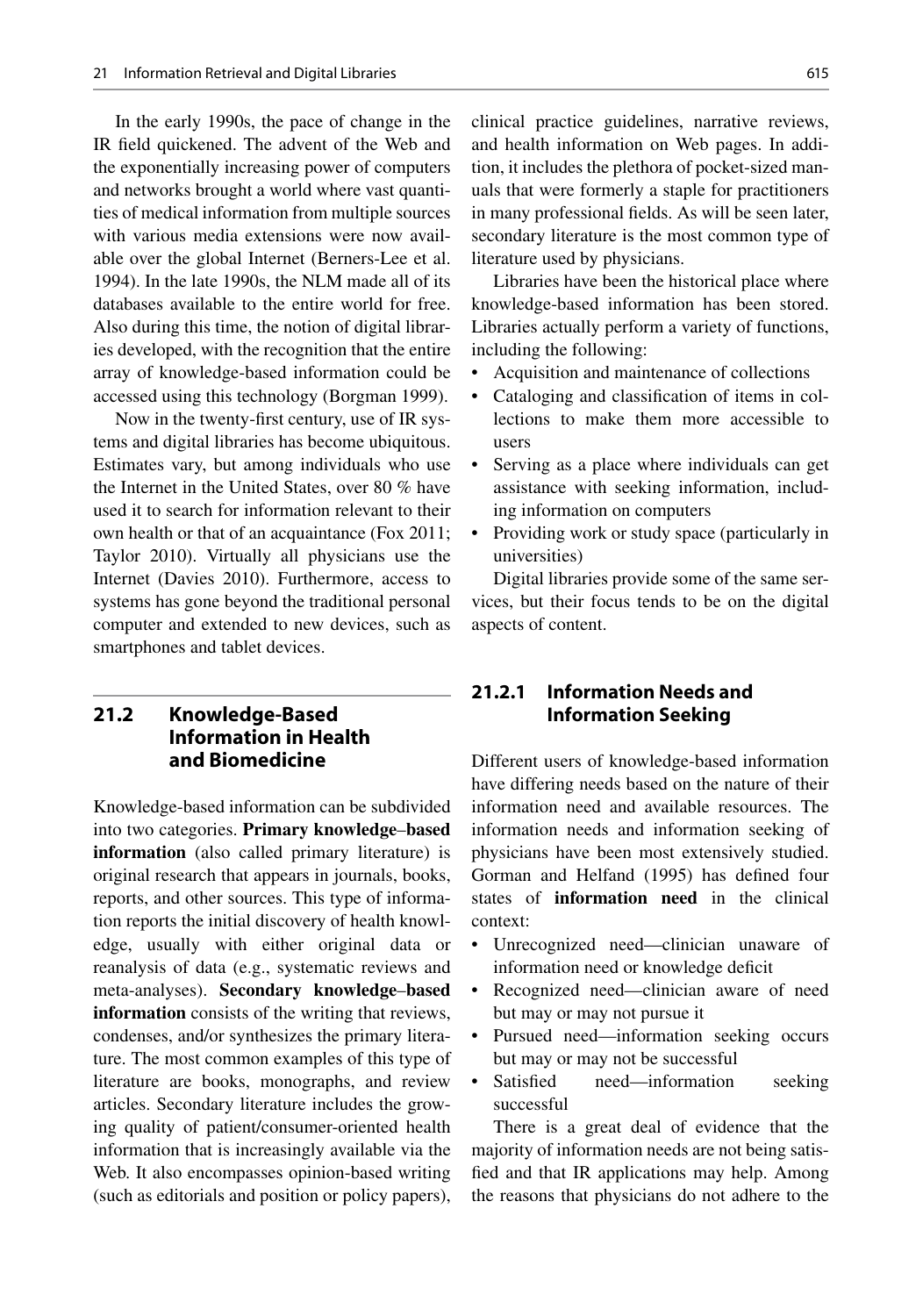In the early 1990s, the pace of change in the IR field quickened. The advent of the Web and the exponentially increasing power of computers and networks brought a world where vast quantities of medical information from multiple sources with various media extensions were now available over the global Internet (Berners-Lee et al. 1994). In the late 1990s, the NLM made all of its databases available to the entire world for free. Also during this time, the notion of digital libraries developed, with the recognition that the entire array of knowledge-based information could be accessed using this technology (Borgman 1999).

Now in the twenty-first century, use of IR systems and digital libraries has become ubiquitous. Estimates vary, but among individuals who use the Internet in the United States, over 80 % have used it to search for information relevant to their own health or that of an acquaintance (Fox 2011; Taylor 2010). Virtually all physicians use the Internet (Davies 2010). Furthermore, access to systems has gone beyond the traditional personal computer and extended to new devices, such as smartphones and tablet devices.

# **21.2 Knowledge-Based Information in Health and Biomedicine**

Knowledge-based information can be subdivided into two categories. **Primary knowledge**–**based information** (also called primary literature) is original research that appears in journals, books, reports, and other sources. This type of information reports the initial discovery of health knowledge, usually with either original data or reanalysis of data (e.g., systematic reviews and meta-analyses). **Secondary knowledge**–**based information** consists of the writing that reviews, condenses, and/or synthesizes the primary literature. The most common examples of this type of literature are books, monographs, and review articles. Secondary literature includes the growing quality of patient/consumer-oriented health information that is increasingly available via the Web. It also encompasses opinion-based writing (such as editorials and position or policy papers), clinical practice guidelines, narrative reviews, and health information on Web pages. In addition, it includes the plethora of pocket-sized manuals that were formerly a staple for practitioners in many professional fields. As will be seen later, secondary literature is the most common type of literature used by physicians.

Libraries have been the historical place where knowledge-based information has been stored. Libraries actually perform a variety of functions, including the following:

- Acquisition and maintenance of collections
- • Cataloging and classification of items in collections to make them more accessible to users
- Serving as a place where individuals can get assistance with seeking information, including information on computers
- Providing work or study space (particularly in universities)

Digital libraries provide some of the same services, but their focus tends to be on the digital aspects of content.

## **21.2.1 Information Needs and Information Seeking**

Different users of knowledge-based information have differing needs based on the nature of their information need and available resources. The information needs and information seeking of physicians have been most extensively studied. Gorman and Helfand (1995) has defined four states of **information need** in the clinical context:

- Unrecognized need—clinician unaware of information need or knowledge deficit
- Recognized need—clinician aware of need but may or may not pursue it
- Pursued need—information seeking occurs but may or may not be successful
- Satisfied need—information seeking successful

There is a great deal of evidence that the majority of information needs are not being satisfied and that IR applications may help. Among the reasons that physicians do not adhere to the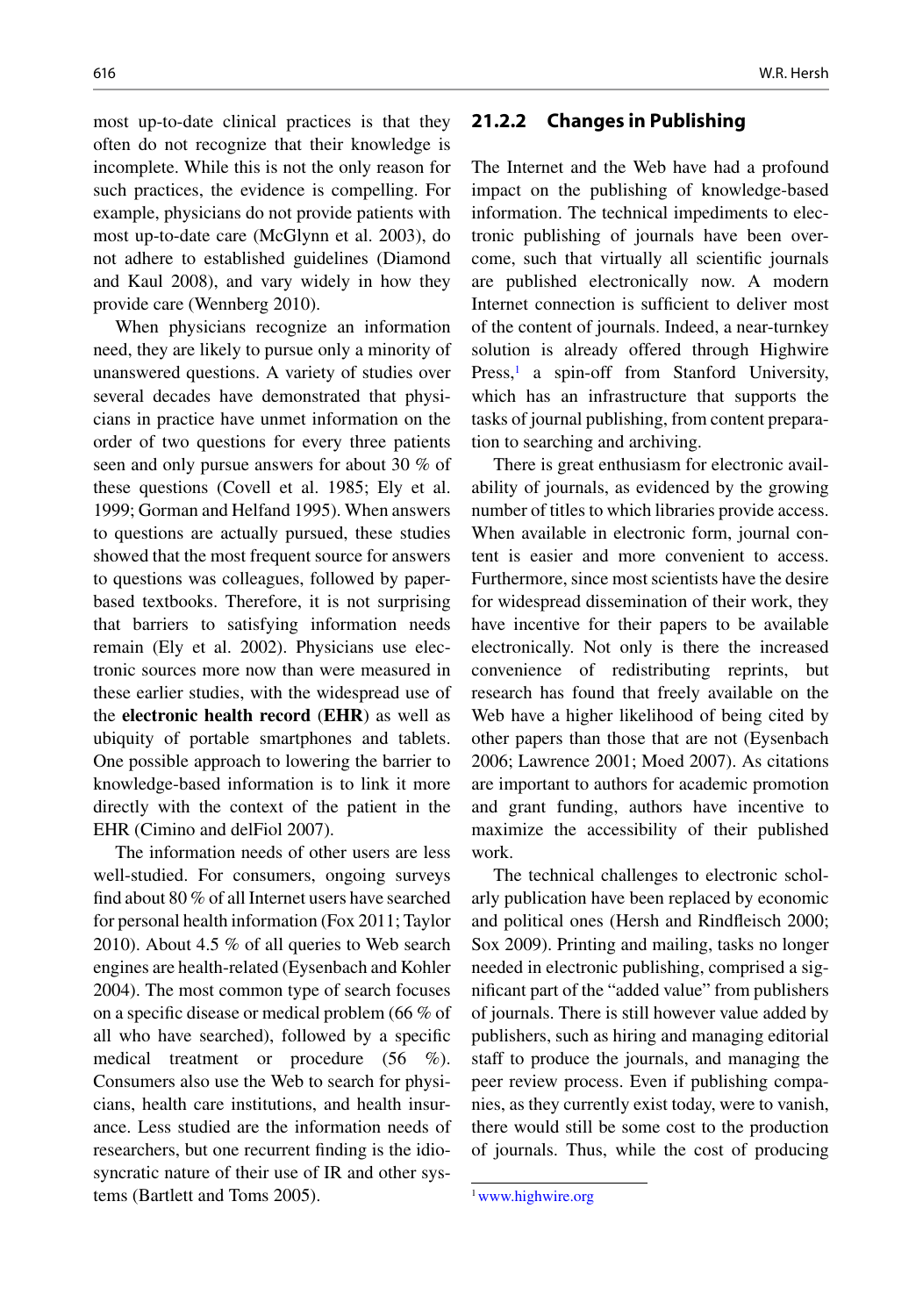most up-to-date clinical practices is that they often do not recognize that their knowledge is incomplete. While this is not the only reason for such practices, the evidence is compelling. For example, physicians do not provide patients with most up-to-date care (McGlynn et al. 2003), do not adhere to established guidelines (Diamond and Kaul 2008), and vary widely in how they provide care (Wennberg 2010).

When physicians recognize an information need, they are likely to pursue only a minority of unanswered questions. A variety of studies over several decades have demonstrated that physicians in practice have unmet information on the order of two questions for every three patients seen and only pursue answers for about 30 % of these questions (Covell et al. 1985; Ely et al. 1999; Gorman and Helfand 1995). When answers to questions are actually pursued, these studies showed that the most frequent source for answers to questions was colleagues, followed by paperbased textbooks. Therefore, it is not surprising that barriers to satisfying information needs remain (Ely et al. 2002). Physicians use electronic sources more now than were measured in these earlier studies, with the widespread use of the **electronic health record** (**EHR**) as well as ubiquity of portable smartphones and tablets. One possible approach to lowering the barrier to knowledge-based information is to link it more directly with the context of the patient in the EHR (Cimino and delFiol 2007).

The information needs of other users are less well-studied. For consumers, ongoing surveys find about 80 % of all Internet users have searched for personal health information (Fox 2011; Taylor 2010). About 4.5 % of all queries to Web search engines are health-related (Eysenbach and Kohler 2004). The most common type of search focuses on a specific disease or medical problem (66 % of all who have searched), followed by a specific medical treatment or procedure (56 %). Consumers also use the Web to search for physicians, health care institutions, and health insurance. Less studied are the information needs of researchers, but one recurrent finding is the idiosyncratic nature of their use of IR and other systems (Bartlett and Toms 2005).

#### **21.2.2 Changes in Publishing**

The Internet and the Web have had a profound impact on the publishing of knowledge-based information. The technical impediments to electronic publishing of journals have been overcome, such that virtually all scientific journals are published electronically now. A modern Internet connection is sufficient to deliver most of the content of journals. Indeed, a near-turnkey solution is already offered through Highwire Press,<sup>[1](#page-3-0)</sup> a spin-off from Stanford University, which has an infrastructure that supports the tasks of journal publishing, from content preparation to searching and archiving.

There is great enthusiasm for electronic availability of journals, as evidenced by the growing number of titles to which libraries provide access. When available in electronic form, journal content is easier and more convenient to access. Furthermore, since most scientists have the desire for widespread dissemination of their work, they have incentive for their papers to be available electronically. Not only is there the increased convenience of redistributing reprints, but research has found that freely available on the Web have a higher likelihood of being cited by other papers than those that are not (Eysenbach 2006; Lawrence 2001; Moed 2007). As citations are important to authors for academic promotion and grant funding, authors have incentive to maximize the accessibility of their published work.

The technical challenges to electronic scholarly publication have been replaced by economic and political ones (Hersh and Rindfleisch 2000; Sox 2009). Printing and mailing, tasks no longer needed in electronic publishing, comprised a significant part of the "added value" from publishers of journals. There is still however value added by publishers, such as hiring and managing editorial staff to produce the journals, and managing the peer review process. Even if publishing companies, as they currently exist today, were to vanish, there would still be some cost to the production of journals. Thus, while the cost of producing

<span id="page-3-0"></span><sup>1</sup>[www.highwire.org](http://www.highwire.org/ )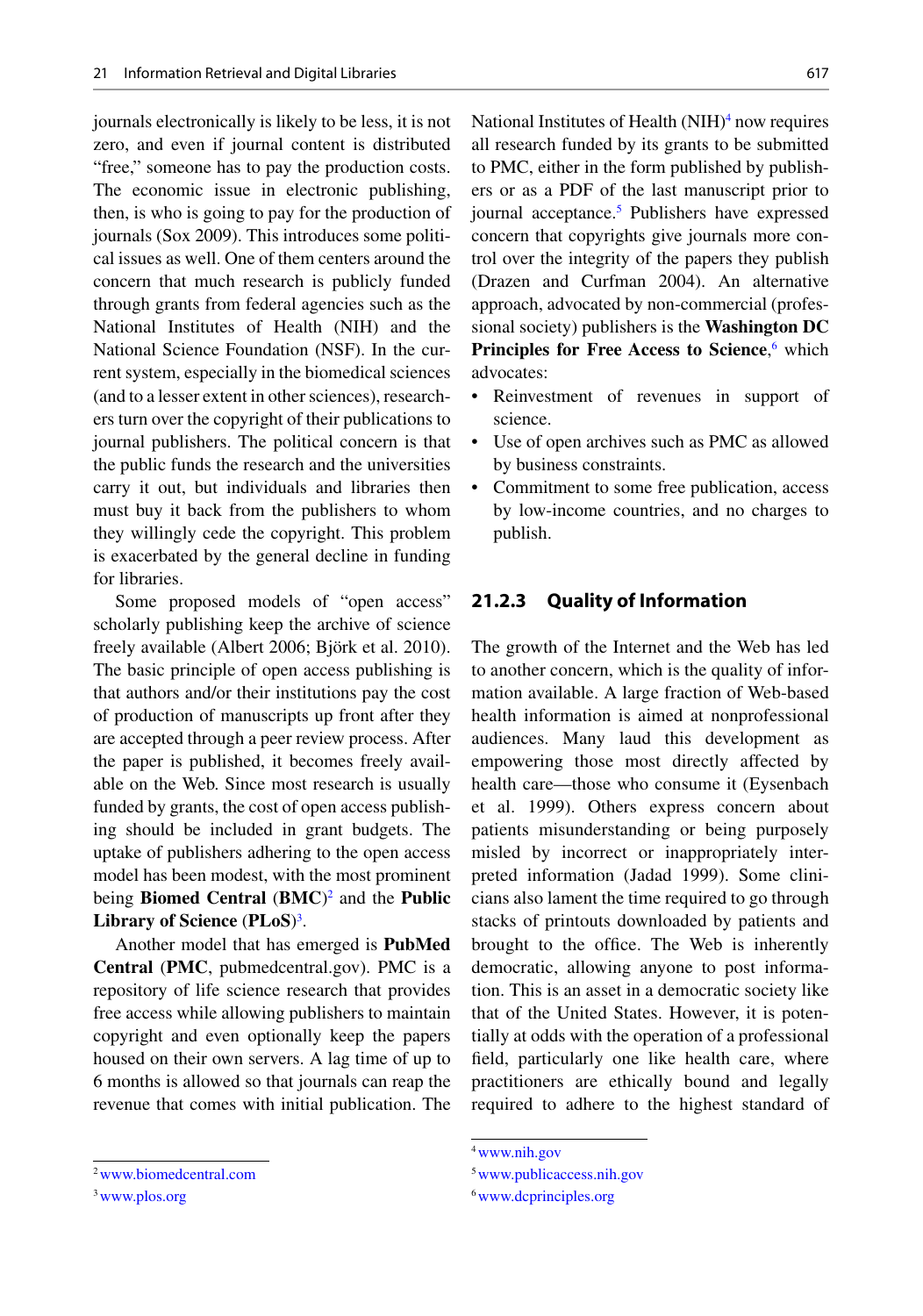journals electronically is likely to be less, it is not zero, and even if journal content is distributed "free," someone has to pay the production costs. The economic issue in electronic publishing, then, is who is going to pay for the production of journals (Sox 2009). This introduces some political issues as well. One of them centers around the concern that much research is publicly funded through grants from federal agencies such as the National Institutes of Health (NIH) and the National Science Foundation (NSF). In the current system, especially in the biomedical sciences (and to a lesser extent in other sciences), researchers turn over the copyright of their publications to journal publishers. The political concern is that the public funds the research and the universities carry it out, but individuals and libraries then must buy it back from the publishers to whom they willingly cede the copyright. This problem is exacerbated by the general decline in funding for libraries.

Some proposed models of "open access" scholarly publishing keep the archive of science freely available (Albert 2006; Björk et al. 2010). The basic principle of open access publishing is that authors and/or their institutions pay the cost of production of manuscripts up front after they are accepted through a peer review process. After the paper is published, it becomes freely available on the Web. Since most research is usually funded by grants, the cost of open access publishing should be included in grant budgets. The uptake of publishers adhering to the open access model has been modest, with the most prominent being **Biomed Central** (**BMC**) [2](#page-4-0) and the **Public Library of Science** (**PLoS**) [3](#page-4-1) .

Another model that has emerged is **PubMed Central** (**PMC**, pubmedcentral.gov). PMC is a repository of life science research that provides free access while allowing publishers to maintain copyright and even optionally keep the papers housed on their own servers. A lag time of up to 6 months is allowed so that journals can reap the revenue that comes with initial publication. The

National Institutes of Health  $(NIH)^4$  now requires all research funded by its grants to be submitted to PMC, either in the form published by publishers or as a PDF of the last manuscript prior to journal acceptance.<sup>5</sup> Publishers have expressed concern that copyrights give journals more control over the integrity of the papers they publish (Drazen and Curfman 2004). An alternative approach, advocated by non-commercial (professional society) publishers is the **Washington DC**  Principles for Free Access to Science,<sup>[6](#page-4-4)</sup> which advocates:

- • Reinvestment of revenues in support of science.
- Use of open archives such as PMC as allowed by business constraints.
- • Commitment to some free publication, access by low-income countries, and no charges to publish.

## **21.2.3 Quality of Information**

The growth of the Internet and the Web has led to another concern, which is the quality of information available. A large fraction of Web-based health information is aimed at nonprofessional audiences. Many laud this development as empowering those most directly affected by health care—those who consume it (Eysenbach et al. 1999). Others express concern about patients misunderstanding or being purposely misled by incorrect or inappropriately interpreted information (Jadad 1999). Some clinicians also lament the time required to go through stacks of printouts downloaded by patients and brought to the office. The Web is inherently democratic, allowing anyone to post information. This is an asset in a democratic society like that of the United States. However, it is potentially at odds with the operation of a professional field, particularly one like health care, where practitioners are ethically bound and legally required to adhere to the highest standard of

<span id="page-4-0"></span><sup>2</sup>[www.biomedcentral.com](http://www.biomedcentral.com/ )

<span id="page-4-1"></span><sup>3</sup>[www.plos.org](http://www.plos.org/ )

<span id="page-4-2"></span><sup>4</sup>[www.nih.gov](http://www.nih.gov/ )

<span id="page-4-3"></span><sup>5</sup>[www.publicaccess.nih.gov](http://www.publicaccess.nih.gov/ )

<span id="page-4-4"></span><sup>6</sup>[www.dcprinciples.org](http://www.dcprinciples.org/ )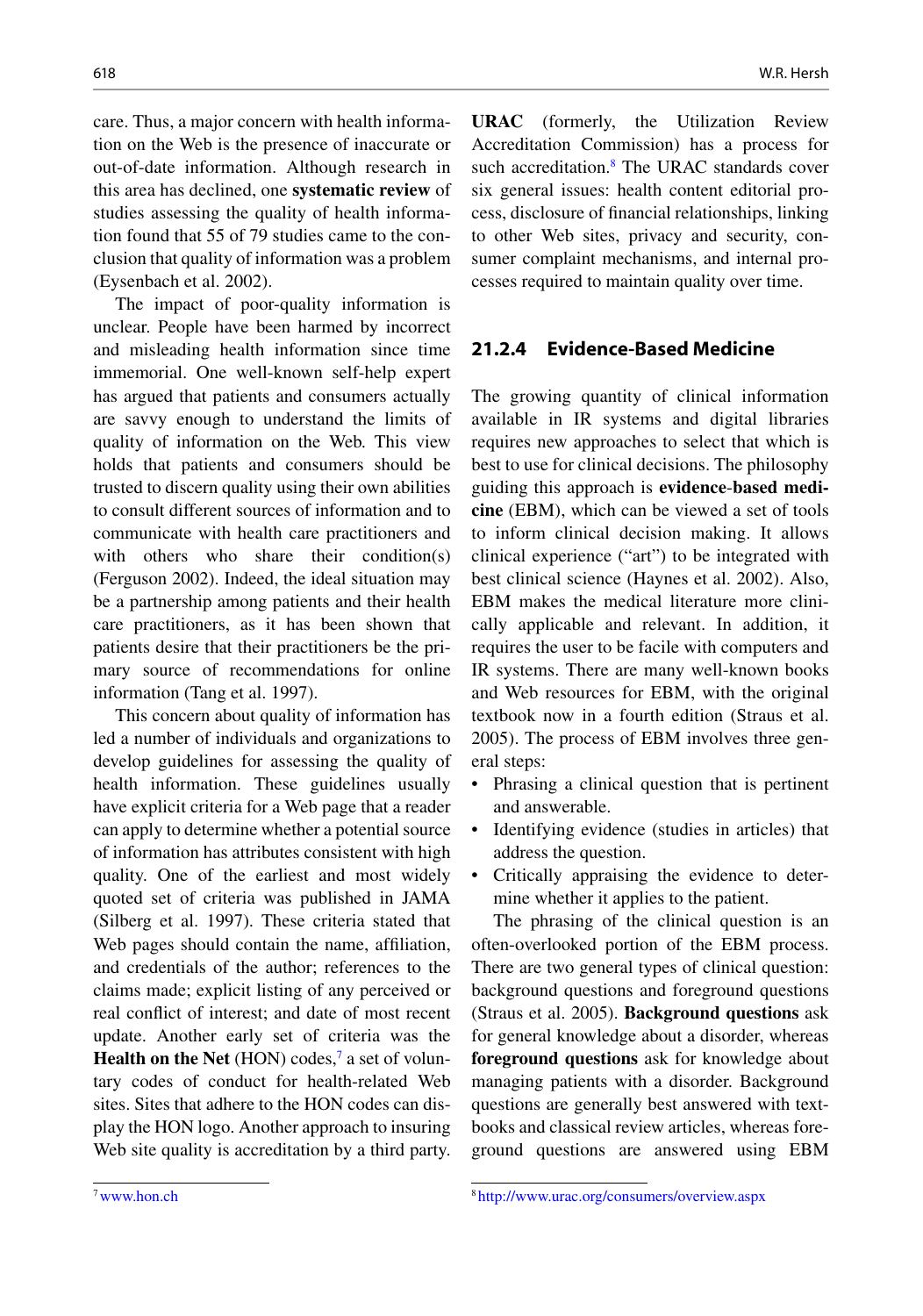care. Thus, a major concern with health information on the Web is the presence of inaccurate or out-of-date information. Although research in this area has declined, one **systematic review** of studies assessing the quality of health information found that 55 of 79 studies came to the conclusion that quality of information was a problem (Eysenbach et al. 2002).

The impact of poor-quality information is unclear. People have been harmed by incorrect and misleading health information since time immemorial. One well-known self-help expert has argued that patients and consumers actually are savvy enough to understand the limits of quality of information on the Web. This view holds that patients and consumers should be trusted to discern quality using their own abilities to consult different sources of information and to communicate with health care practitioners and with others who share their condition(s) (Ferguson 2002). Indeed, the ideal situation may be a partnership among patients and their health care practitioners, as it has been shown that patients desire that their practitioners be the primary source of recommendations for online information (Tang et al. 1997).

This concern about quality of information has led a number of individuals and organizations to develop guidelines for assessing the quality of health information. These guidelines usually have explicit criteria for a Web page that a reader can apply to determine whether a potential source of information has attributes consistent with high quality. One of the earliest and most widely quoted set of criteria was published in JAMA (Silberg et al. 1997). These criteria stated that Web pages should contain the name, affiliation, and credentials of the author; references to the claims made; explicit listing of any perceived or real conflict of interest; and date of most recent update. Another early set of criteria was the **Health on the Net** (HON) codes,<sup>7</sup> a set of voluntary codes of conduct for health-related Web sites. Sites that adhere to the HON codes can display the HON logo. Another approach to insuring Web site quality is accreditation by a third party.

**URAC** (formerly, the Utilization Review Accreditation Commission) has a process for such accreditation.<sup>[8](#page-5-1)</sup> The URAC standards cover six general issues: health content editorial process, disclosure of financial relationships, linking to other Web sites, privacy and security, consumer complaint mechanisms, and internal processes required to maintain quality over time.

## **21.2.4 Evidence-Based Medicine**

The growing quantity of clinical information available in IR systems and digital libraries requires new approaches to select that which is best to use for clinical decisions. The philosophy guiding this approach is **evidence**-**based medicine** (EBM), which can be viewed a set of tools to inform clinical decision making. It allows clinical experience ("art") to be integrated with best clinical science (Haynes et al. 2002). Also, EBM makes the medical literature more clinically applicable and relevant. In addition, it requires the user to be facile with computers and IR systems. There are many well-known books and Web resources for EBM, with the original textbook now in a fourth edition (Straus et al. 2005). The process of EBM involves three general steps:

- Phrasing a clinical question that is pertinent and answerable.
- • Identifying evidence (studies in articles) that address the question.
- • Critically appraising the evidence to determine whether it applies to the patient.

<span id="page-5-1"></span>The phrasing of the clinical question is an often-overlooked portion of the EBM process. There are two general types of clinical question: background questions and foreground questions (Straus et al. 2005). **Background questions** ask for general knowledge about a disorder, whereas **foreground questions** ask for knowledge about managing patients with a disorder. Background questions are generally best answered with textbooks and classical review articles, whereas foreground questions are answered using EBM

<span id="page-5-0"></span>7[www.hon.ch](http://www.hon.ch/ )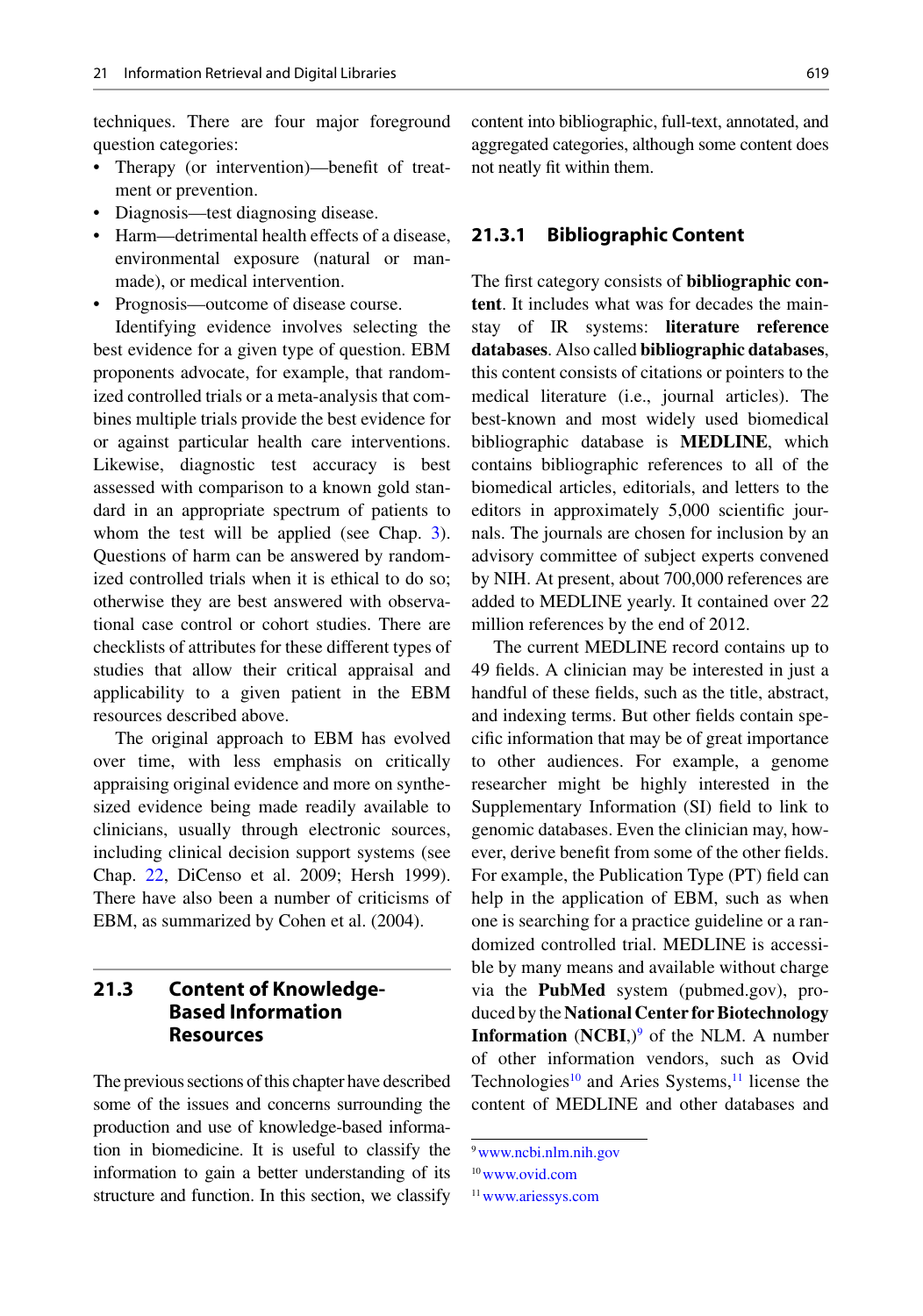techniques. There are four major foreground question categories:

- Therapy (or intervention)—benefit of treatment or prevention.
- Diagnosis—test diagnosing disease.
- Harm—detrimental health effects of a disease, environmental exposure (natural or manmade), or medical intervention.
- Prognosis—outcome of disease course.

Identifying evidence involves selecting the best evidence for a given type of question. EBM proponents advocate, for example, that randomized controlled trials or a meta-analysis that combines multiple trials provide the best evidence for or against particular health care interventions. Likewise, diagnostic test accuracy is best assessed with comparison to a known gold standard in an appropriate spectrum of patients to whom the test will be applied (see Chap. [3\)](http://dx.doi.org/10.1007/978-1-4471-4474-8_3). Questions of harm can be answered by randomized controlled trials when it is ethical to do so; otherwise they are best answered with observational case control or cohort studies. There are checklists of attributes for these different types of studies that allow their critical appraisal and applicability to a given patient in the EBM resources described above.

The original approach to EBM has evolved over time, with less emphasis on critically appraising original evidence and more on synthesized evidence being made readily available to clinicians, usually through electronic sources, including clinical decision support systems (see Chap. [22,](http://dx.doi.org/10.1007/978-1-4471-4474-8_22) DiCenso et al. 2009; Hersh 1999). There have also been a number of criticisms of EBM, as summarized by Cohen et al. (2004).

# <span id="page-6-3"></span>**21.3 Content of Knowledge-Based Information Resources**

The previous sections of this chapter have described some of the issues and concerns surrounding the production and use of knowledge-based information in biomedicine. It is useful to classify the information to gain a better understanding of its structure and function. In this section, we classify

content into bibliographic, full-text, annotated, and aggregated categories, although some content does not neatly fit within them.

### **21.3.1 Bibliographic Content**

The first category consists of **bibliographic content**. It includes what was for decades the mainstay of IR systems: **literature reference databases**. Also called **bibliographic databases**, this content consists of citations or pointers to the medical literature (i.e., journal articles). The best-known and most widely used biomedical bibliographic database is **MEDLINE**, which contains bibliographic references to all of the biomedical articles, editorials, and letters to the editors in approximately 5,000 scientific journals. The journals are chosen for inclusion by an advisory committee of subject experts convened by NIH. At present, about 700,000 references are added to MEDLINE yearly. It contained over 22 million references by the end of 2012.

The current MEDLINE record contains up to 49 fields. A clinician may be interested in just a handful of these fields, such as the title, abstract, and indexing terms. But other fields contain specific information that may be of great importance to other audiences. For example, a genome researcher might be highly interested in the Supplementary Information (SI) field to link to genomic databases. Even the clinician may, however, derive benefit from some of the other fields. For example, the Publication Type (PT) field can help in the application of EBM, such as when one is searching for a practice guideline or a randomized controlled trial. MEDLINE is accessible by many means and available without charge via the **PubMed** system (pubmed.gov), produced by the **National Center for Biotechnology Information**  $(NCBI)$ <sup>[9](#page-6-0)</sup> of the NLM. A number of other information vendors, such as Ovid Technologies<sup>10</sup> and Aries Systems,<sup>11</sup> license the content of MEDLINE and other databases and

<span id="page-6-0"></span><sup>9</sup>[www.ncbi.nlm.nih.gov](http://www.ncbi.nlm.nih.gov/ )

<span id="page-6-1"></span><sup>&</sup>lt;sup>10</sup>[www.ovid.com](http://www.ovid.com/ )

<span id="page-6-2"></span><sup>11</sup>[www.ariessys.com](http://www.ariessys.com/ )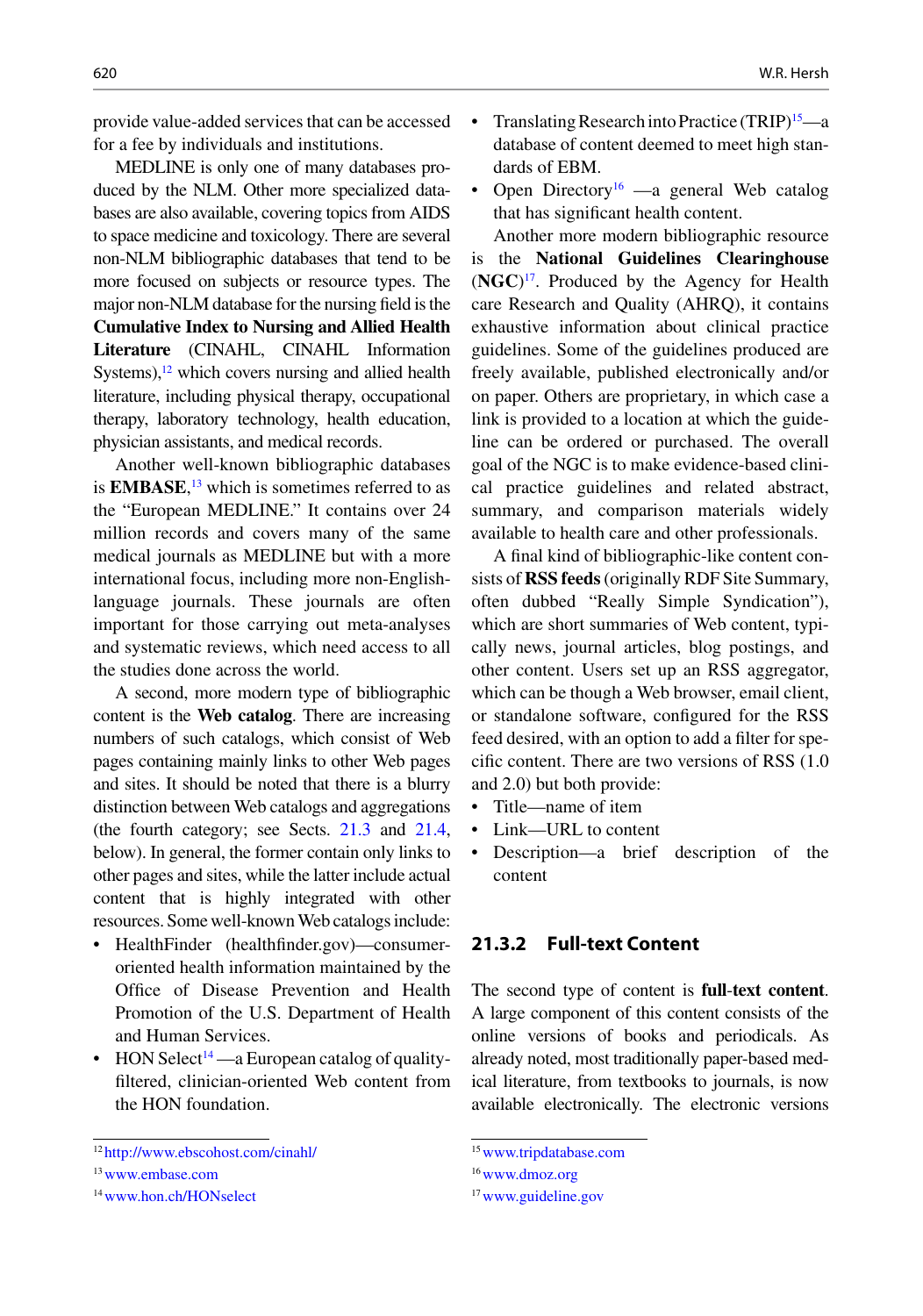provide value-added services that can be accessed for a fee by individuals and institutions.

MEDLINE is only one of many databases produced by the NLM. Other more specialized databases are also available, covering topics from AIDS to space medicine and toxicology. There are several non-NLM bibliographic databases that tend to be more focused on subjects or resource types. The major non-NLM database for the nursing field is the **Cumulative Index to Nursing and Allied Health Literature** (CINAHL, CINAHL Information Systems), $\frac{12}{12}$  which covers nursing and allied health literature, including physical therapy, occupational therapy, laboratory technology, health education, physician assistants, and medical records.

Another well-known bibliographic databases is **EMBASE**, [13](#page-7-1) which is sometimes referred to as the "European MEDLINE." It contains over 24 million records and covers many of the same medical journals as MEDLINE but with a more international focus, including more non-Englishlanguage journals. These journals are often important for those carrying out meta-analyses and systematic reviews, which need access to all the studies done across the world.

A second, more modern type of bibliographic content is the **Web catalog**. There are increasing numbers of such catalogs, which consist of Web pages containing mainly links to other Web pages and sites. It should be noted that there is a blurry distinction between Web catalogs and aggregations (the fourth category; see Sects. [21.3](#page-6-3) and [21.4](#page-11-0), below). In general, the former contain only links to other pages and sites, while the latter include actual content that is highly integrated with other resources. Some well-known Web catalogs include:

- HealthFinder (healthfinder.gov)—consumeroriented health information maintained by the Office of Disease Prevention and Health Promotion of the U.S. Department of Health and Human Services.
- HON Select<sup>14</sup> —a European catalog of qualityfiltered, clinician-oriented Web content from the HON foundation.
- Translating Research into Practice  $(TRIP)^{15}$ —a database of content deemed to meet high standards of EBM.
- Open Directory<sup>16</sup> —a general Web catalog that has significant health content.

Another more modern bibliographic resource is the **National Guidelines Clearinghouse** (**NGC**)[17.](#page-7-5) Produced by the Agency for Health care Research and Quality (AHRQ), it contains exhaustive information about clinical practice guidelines. Some of the guidelines produced are freely available, published electronically and/or on paper. Others are proprietary, in which case a link is provided to a location at which the guideline can be ordered or purchased. The overall goal of the NGC is to make evidence-based clinical practice guidelines and related abstract, summary, and comparison materials widely available to health care and other professionals.

A final kind of bibliographic-like content consists of **RSS feeds** (originally RDF Site Summary, often dubbed "Really Simple Syndication"), which are short summaries of Web content, typically news, journal articles, blog postings, and other content. Users set up an RSS aggregator, which can be though a Web browser, email client, or standalone software, configured for the RSS feed desired, with an option to add a filter for specific content. There are two versions of RSS (1.0 and 2.0) but both provide:

- Title—name of item
- Link—URL to content
- • Description—a brief description of the content

### **21.3.2 Full-text Content**

The second type of content is **full**-**text content**. A large component of this content consists of the online versions of books and periodicals. As already noted, most traditionally paper-based medical literature, from textbooks to journals, is now available electronically. The electronic versions

<span id="page-7-0"></span><sup>12</sup> [http://www.ebscohost.com/cinahl/](http://www.ebscohost.com/cinahl/ )

<span id="page-7-1"></span><sup>13</sup>[www.embase.com](http://www.embase.com/ )

<span id="page-7-2"></span><sup>&</sup>lt;sup>14</sup> [www.hon.ch/HONselect](http://www.hon.ch/HONselect )

<span id="page-7-3"></span><sup>15</sup>[www.tripdatabase.com](http://www.tripdatabase.com/ )

<span id="page-7-4"></span><sup>&</sup>lt;sup>16</sup>[www.dmoz.org](http://www.dmoz.org/ )

<span id="page-7-5"></span><sup>&</sup>lt;sup>17</sup>[www.guideline.gov](http://www.guideline.gov/ )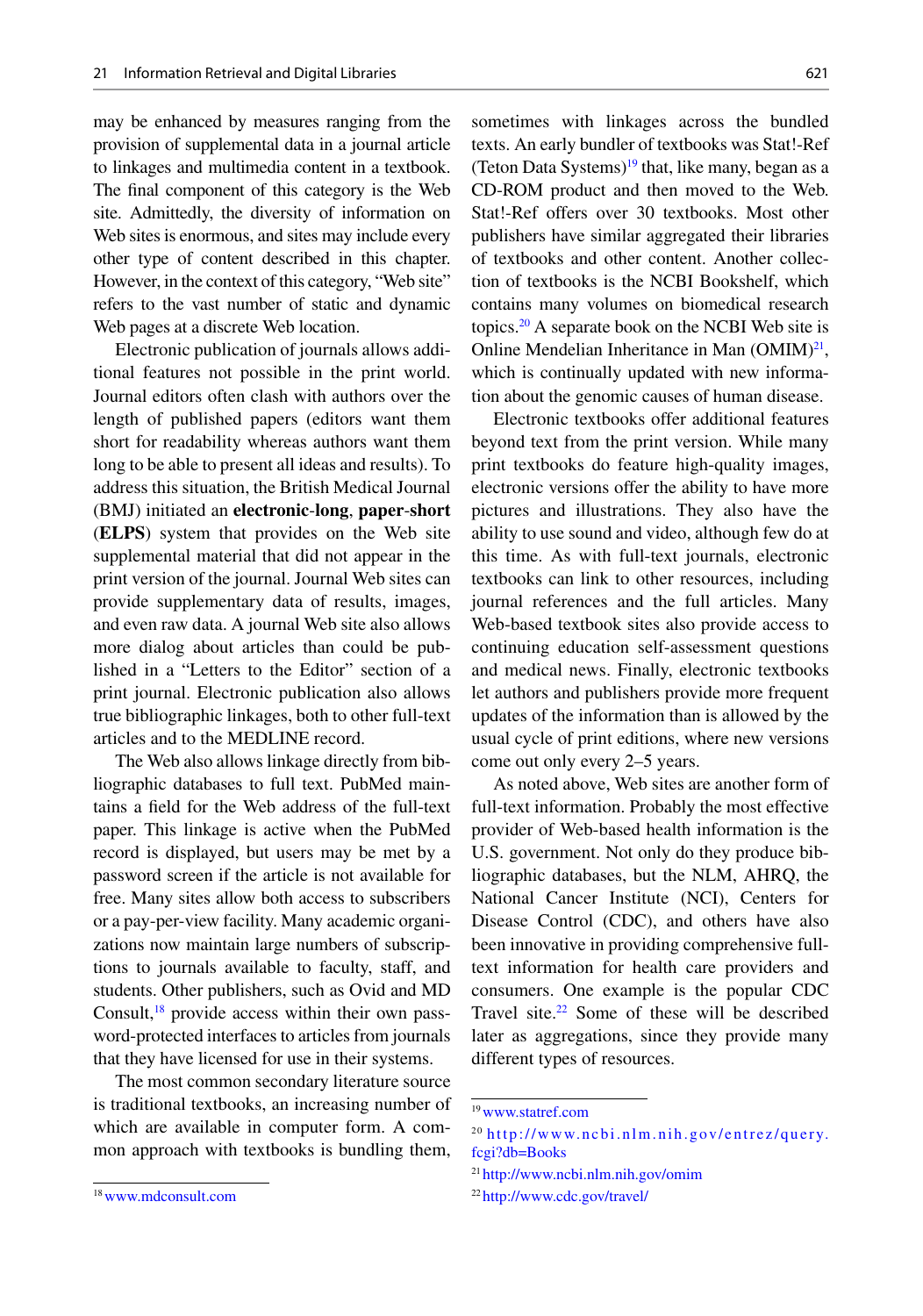may be enhanced by measures ranging from the provision of supplemental data in a journal article to linkages and multimedia content in a textbook. The final component of this category is the Web site. Admittedly, the diversity of information on Web sites is enormous, and sites may include every other type of content described in this chapter. However, in the context of this category, "Web site" refers to the vast number of static and dynamic Web pages at a discrete Web location.

Electronic publication of journals allows additional features not possible in the print world. Journal editors often clash with authors over the length of published papers (editors want them short for readability whereas authors want them long to be able to present all ideas and results). To address this situation, the British Medical Journal (BMJ) initiated an **electronic**-**long**, **paper**-**short** (**ELPS**) system that provides on the Web site supplemental material that did not appear in the print version of the journal. Journal Web sites can provide supplementary data of results, images, and even raw data. A journal Web site also allows more dialog about articles than could be published in a "Letters to the Editor" section of a print journal. Electronic publication also allows true bibliographic linkages, both to other full-text articles and to the MEDLINE record.

The Web also allows linkage directly from bibliographic databases to full text. PubMed maintains a field for the Web address of the full-text paper. This linkage is active when the PubMed record is displayed, but users may be met by a password screen if the article is not available for free. Many sites allow both access to subscribers or a pay-per-view facility. Many academic organizations now maintain large numbers of subscriptions to journals available to faculty, staff, and students. Other publishers, such as Ovid and MD Consult, $^{18}$  provide access within their own password-protected interfaces to articles from journals that they have licensed for use in their systems.

The most common secondary literature source is traditional textbooks, an increasing number of which are available in computer form. A common approach with textbooks is bundling them,

Electronic textbooks offer additional features beyond text from the print version. While many print textbooks do feature high-quality images, electronic versions offer the ability to have more pictures and illustrations. They also have the ability to use sound and video, although few do at this time. As with full-text journals, electronic textbooks can link to other resources, including journal references and the full articles. Many Web-based textbook sites also provide access to continuing education self-assessment questions and medical news. Finally, electronic textbooks let authors and publishers provide more frequent updates of the information than is allowed by the usual cycle of print editions, where new versions come out only every 2–5 years.

As noted above, Web sites are another form of full-text information. Probably the most effective provider of Web-based health information is the U.S. government. Not only do they produce bibliographic databases, but the NLM, AHRQ, the National Cancer Institute (NCI), Centers for Disease Control (CDC), and others have also been innovative in providing comprehensive fulltext information for health care providers and consumers. One example is the popular CDC Travel site. $22$  Some of these will be described later as aggregations, since they provide many different types of resources.

sometimes with linkages across the bundled texts. An early bundler of textbooks was Stat!-Ref (Teton Data Systems)<sup>19</sup> that, like many, began as a CD-ROM product and then moved to the Web. Stat!-Ref offers over 30 textbooks. Most other publishers have similar aggregated their libraries of textbooks and other content. Another collection of textbooks is the NCBI Bookshelf, which contains many volumes on biomedical research topics.<sup>20</sup> A separate book on the NCBI Web site is Online Mendelian Inheritance in Man  $(OMIM)^{21}$ , which is continually updated with new information about the genomic causes of human disease.

<span id="page-8-1"></span><sup>19</sup>[www.statref.com](http://www.statref.com/ )

<span id="page-8-2"></span><sup>&</sup>lt;sup>20</sup> [http://www.ncbi.nlm.nih.gov/entrez/query.](http://www.ncbi.nlm.nih.gov/entrez/query.fcgi?db=Books ) [fcgi?db=Books](http://www.ncbi.nlm.nih.gov/entrez/query.fcgi?db=Books )

<span id="page-8-3"></span><sup>21</sup> [http://www.ncbi.nlm.nih.gov/omim](http://www.ncbi.nlm.nih.gov/omim )

<span id="page-8-4"></span><sup>22</sup> [http://www.cdc.gov/travel/](http://www.cdc.gov/travel/ )

<span id="page-8-0"></span><sup>18</sup>[www.mdconsult.com](http://www.mdconsult.com/ )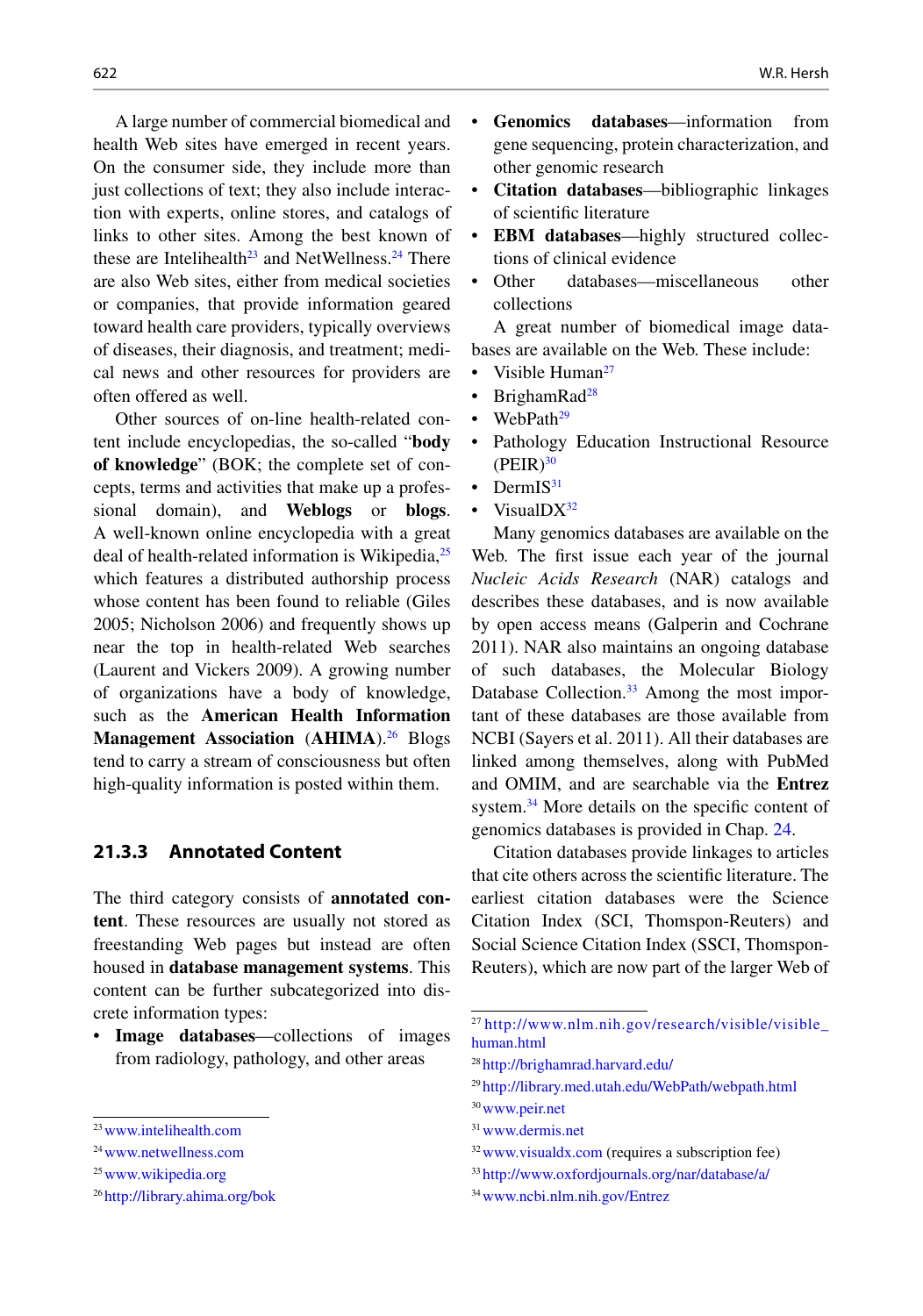A large number of commercial biomedical and health Web sites have emerged in recent years. On the consumer side, they include more than just collections of text; they also include interaction with experts, online stores, and catalogs of links to other sites. Among the best known of these are Intelihealth<sup>23</sup> and NetWellness.<sup>24</sup> There are also Web sites, either from medical societies or companies, that provide information geared toward health care providers, typically overviews of diseases, their diagnosis, and treatment; medical news and other resources for providers are often offered as well.

Other sources of on-line health-related content include encyclopedias, the so-called "**body of knowledge**" (BOK; the complete set of concepts, terms and activities that make up a professional domain), and **Weblogs** or **blogs**. A well-known online encyclopedia with a great deal of health-related information is Wikipedia,[25](#page-9-2) which features a distributed authorship process whose content has been found to reliable (Giles 2005; Nicholson 2006) and frequently shows up near the top in health-related Web searches (Laurent and Vickers 2009). A growing number of organizations have a body of knowledge, such as the **American Health Information Management Association** (**AHIMA**).[26](#page-9-3) Blogs tend to carry a stream of consciousness but often high-quality information is posted within them.

### **21.3.3 Annotated Content**

The third category consists of **annotated content**. These resources are usually not stored as freestanding Web pages but instead are often housed in **database management systems**. This content can be further subcategorized into discrete information types:

Image databases—collections of images from radiology, pathology, and other areas

- Genomics databases—information from gene sequencing, protein characterization, and other genomic research
- • **Citation databases**—bibliographic linkages of scientific literature
- • **EBM databases**—highly structured collections of clinical evidence
- Other databases—miscellaneous other collections

A great number of biomedical image databases are available on the Web. These include:

- Visible  $\text{Human}^{27}$
- $BrichamRad<sup>28</sup>$
- WebPath<sup>[29](#page-9-6)</sup>
- Pathology Education Instructional Resource  $(PEIR)^{30}$
- $Der mIS<sup>31</sup>$  $Der mIS<sup>31</sup>$  $Der mIS<sup>31</sup>$
- VisualD $X^{32}$  $X^{32}$  $X^{32}$

Many genomics databases are available on the Web. The first issue each year of the journal *Nucleic Acids Research* (NAR) catalogs and describes these databases, and is now available by open access means (Galperin and Cochrane 2011). NAR also maintains an ongoing database of such databases, the Molecular Biology Database Collection.<sup>33</sup> Among the most important of these databases are those available from NCBI (Sayers et al. 2011). All their databases are linked among themselves, along with PubMed and OMIM, and are searchable via the **Entrez** system.<sup>34</sup> More details on the specific content of genomics databases is provided in Chap. [24](http://dx.doi.org/10.1007/978-1-4471-4474-8_24).

Citation databases provide linkages to articles that cite others across the scientific literature. The earliest citation databases were the Science Citation Index (SCI, Thomspon-Reuters) and Social Science Citation Index (SSCI, Thomspon-Reuters), which are now part of the larger Web of

- <span id="page-9-5"></span><sup>28</sup> [http://brighamrad.harvard.edu/](http://brighamrad.harvard.edu/ )
- <span id="page-9-7"></span><span id="page-9-6"></span><sup>29</sup> [http://library.med.utah.edu/WebPath/webpath.html](http://library.med.utah.edu/WebPath/webpath.html ) 30[www.peir.net](http://www.peir.net/ )
- <span id="page-9-8"></span><sup>31</sup> [www.dermis.net](http://www.dermis.net/ )
- <span id="page-9-9"></span> $32$  [www.visualdx.com](http://www.visualdx.com/ ) (requires a subscription fee)
- <span id="page-9-10"></span><sup>33</sup> [http://www.oxfordjournals.org/nar/database/a/](http://www.oxfordjournals.org/nar/database/a/ )
- <span id="page-9-11"></span>34[www.ncbi.nlm.nih.gov/Entrez](http://www.ncbi.nlm.nih.gov/Entrez )

<span id="page-9-0"></span><sup>23</sup>[www.intelihealth.com](http://www.intelihealth.com/ )

<span id="page-9-1"></span><sup>24</sup>[www.netwellness.com](http://www.netwellness.com/ )

<span id="page-9-2"></span><sup>25</sup>[www.wikipedia.org](http://www.wikipedia.org/ )

<span id="page-9-3"></span><sup>26</sup> [http://library.ahima.org/bok](http://library.ahima.org/bok )

<span id="page-9-4"></span><sup>27</sup> [http://www.nlm.nih.gov/research/visible/visible\\_](http://www.nlm.nih.gov/research/visible/visible_human.html ) [human.html](http://www.nlm.nih.gov/research/visible/visible_human.html )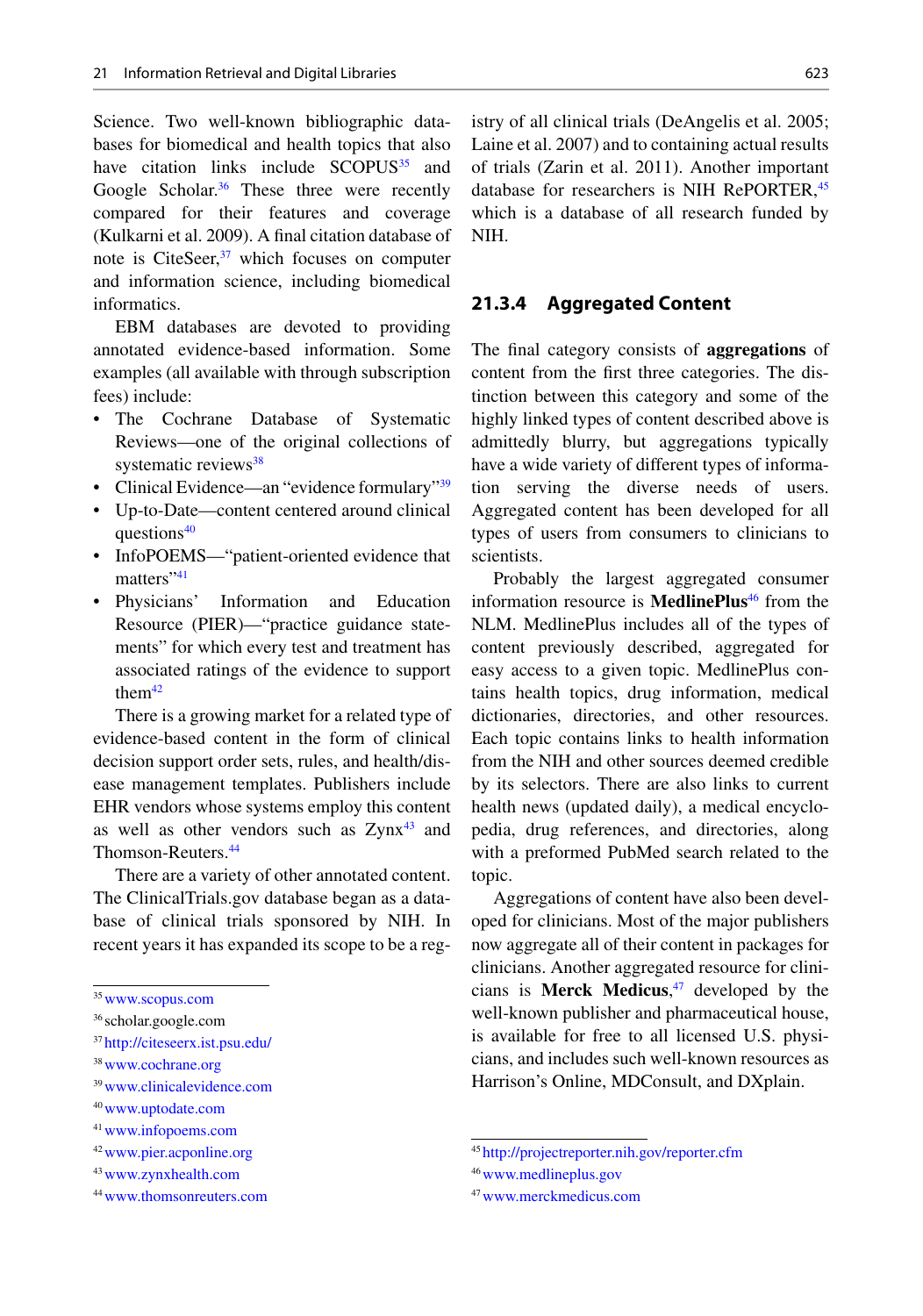Science. Two well-known bibliographic databases for biomedical and health topics that also have citation links include SCOPUS<sup>35</sup> and Google Scholar.<sup>36</sup> These three were recently compared for their features and coverage (Kulkarni et al. 2009). A final citation database of note is CiteSeer,<sup>37</sup> which focuses on computer and information science, including biomedical informatics.

EBM databases are devoted to providing annotated evidence-based information. Some examples (all available with through subscription fees) include:

- The Cochrane Database of Systematic Reviews—one of the original collections of systematic reviews<sup>38</sup>
- Clinical Evidence—an "evidence formulary"<sup>[39](#page-10-4)</sup>
- • Up-to-Date—content centered around clinical questions $40$
- InfoPOEMS—"patient-oriented evidence that matters"<sup>[41](#page-10-6)</sup>
- Physicians' Information and Education Resource (PIER)—"practice guidance statements" for which every test and treatment has associated ratings of the evidence to support the $m<sup>42</sup>$

There is a growing market for a related type of evidence-based content in the form of clinical decision support order sets, rules, and health/disease management templates. Publishers include EHR vendors whose systems employ this content as well as other vendors such as  $Zynx^{43}$  and Thomson-Reuters[.44](#page-10-9)

There are a variety of other annotated content. The ClinicalTrials.gov database began as a database of clinical trials sponsored by NIH. In recent years it has expanded its scope to be a registry of all clinical trials (DeAngelis et al. 2005; Laine et al. 2007) and to containing actual results of trials (Zarin et al. 2011). Another important database for researchers is NIH RePORTER,<sup>[45](#page-10-10)</sup> which is a database of all research funded by NIH.

#### **21.3.4 Aggregated Content**

The final category consists of **aggregations** of content from the first three categories. The distinction between this category and some of the highly linked types of content described above is admittedly blurry, but aggregations typically have a wide variety of different types of information serving the diverse needs of users. Aggregated content has been developed for all types of users from consumers to clinicians to scientists.

Probably the largest aggregated consumer information resource is **MedlinePlus**[46](#page-10-11) from the NLM. MedlinePlus includes all of the types of content previously described, aggregated for easy access to a given topic. MedlinePlus contains health topics, drug information, medical dictionaries, directories, and other resources. Each topic contains links to health information from the NIH and other sources deemed credible by its selectors. There are also links to current health news (updated daily), a medical encyclopedia, drug references, and directories, along with a preformed PubMed search related to the topic.

Aggregations of content have also been developed for clinicians. Most of the major publishers now aggregate all of their content in packages for clinicians. Another aggregated resource for clinicians is **Merck Medicus**, [47](#page-10-12) developed by the well-known publisher and pharmaceutical house, is available for free to all licensed U.S. physicians, and includes such well-known resources as Harrison's Online, MDConsult, and DXplain.

<span id="page-10-0"></span><sup>35</sup>[www.scopus.com](http://www.scopus.com/ )

<span id="page-10-1"></span><sup>36</sup> scholar.google.com

<span id="page-10-2"></span><sup>37</sup> [http://citeseerx.ist.psu.edu/](http://citeseerx.ist.psu.edu/ )

<span id="page-10-3"></span><sup>38</sup>[www.cochrane.org](http://www.cochrane.org/ )

<span id="page-10-4"></span><sup>&</sup>lt;sup>39</sup>[www.clinicalevidence.com](http://www.clinicalevidence.com/ )

<span id="page-10-5"></span><sup>40</sup>[www.uptodate.com](http://www.uptodate.com/ )

<span id="page-10-6"></span><sup>41</sup>[www.infopoems.com](http://www.infopoems.com/ )

<span id="page-10-7"></span><sup>42</sup>[www.pier.acponline.org](http://www.pier.acponline.org/ )

<span id="page-10-8"></span><sup>43</sup>[www.zynxhealth.com](http://www.zynxhealth.com/ )

<span id="page-10-9"></span><sup>44</sup>[www.thomsonreuters.com](http://www.thomsonreuters.com/ )

<span id="page-10-10"></span><sup>45</sup> [http://projectreporter.nih.gov/reporter.cfm](http://projectreporter.nih.gov/reporter.cfm )

<span id="page-10-11"></span><sup>46</sup>[www.medlineplus.gov](http://www.medlineplus.gov/ )

<span id="page-10-12"></span><sup>47</sup>[www.merckmedicus.com](http://www.merckmedicus.com/ )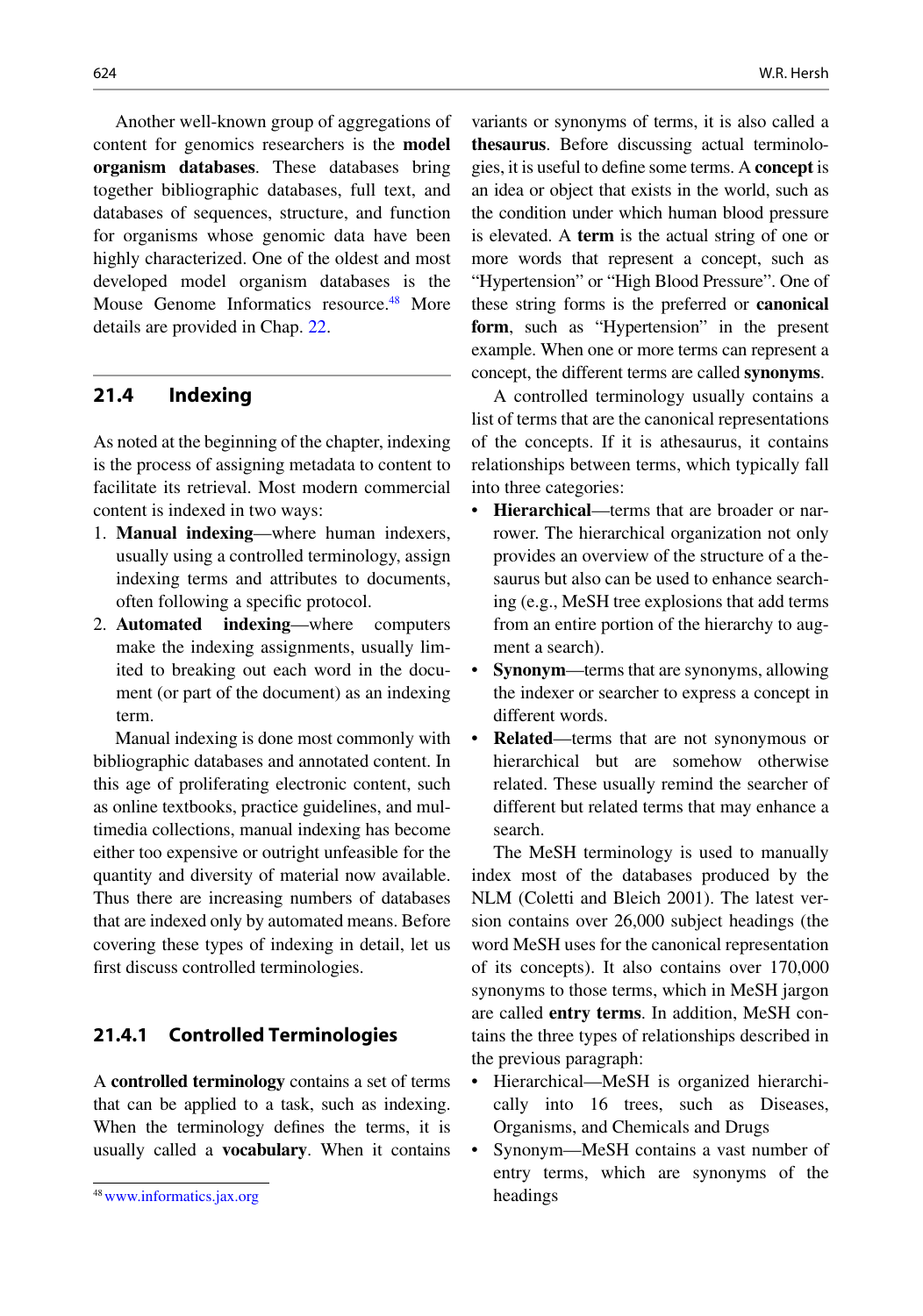Another well-known group of aggregations of content for genomics researchers is the **model organism databases**. These databases bring together bibliographic databases, full text, and databases of sequences, structure, and function for organisms whose genomic data have been highly characterized. One of the oldest and most developed model organism databases is the Mouse Genome Informatics resource.<sup>48</sup> More details are provided in Chap. [22.](http://dx.doi.org/10.1007/978-1-4471-4474-8_22)

## <span id="page-11-0"></span>**21.4 Indexing**

As noted at the beginning of the chapter, indexing is the process of assigning metadata to content to facilitate its retrieval. Most modern commercial content is indexed in two ways:

- 1. **Manual indexing**—where human indexers, usually using a controlled terminology, assign indexing terms and attributes to documents, often following a specific protocol.
- 2. **Automated indexing**—where computers make the indexing assignments, usually limited to breaking out each word in the document (or part of the document) as an indexing term.

Manual indexing is done most commonly with bibliographic databases and annotated content. In this age of proliferating electronic content, such as online textbooks, practice guidelines, and multimedia collections, manual indexing has become either too expensive or outright unfeasible for the quantity and diversity of material now available. Thus there are increasing numbers of databases that are indexed only by automated means. Before covering these types of indexing in detail, let us first discuss controlled terminologies.

## **21.4.1 Controlled Terminologies**

A **controlled terminology** contains a set of terms that can be applied to a task, such as indexing. When the terminology defines the terms, it is usually called a **vocabulary**. When it contains

variants or synonyms of terms, it is also called a **thesaurus**. Before discussing actual terminologies, it is useful to define some terms. A **concept** is an idea or object that exists in the world, such as the condition under which human blood pressure is elevated. A **term** is the actual string of one or more words that represent a concept, such as "Hypertension" or "High Blood Pressure". One of these string forms is the preferred or **canonical form**, such as "Hypertension" in the present example. When one or more terms can represent a concept, the different terms are called **synonyms**.

A controlled terminology usually contains a list of terms that are the canonical representations of the concepts. If it is athesaurus, it contains relationships between terms, which typically fall into three categories:

- **Hierarchical**—terms that are broader or narrower. The hierarchical organization not only provides an overview of the structure of a thesaurus but also can be used to enhance searching (e.g., MeSH tree explosions that add terms from an entire portion of the hierarchy to augment a search).
- **Synonym—terms that are synonyms, allowing** the indexer or searcher to express a concept in different words.
- **Related—terms that are not synonymous or** hierarchical but are somehow otherwise related. These usually remind the searcher of different but related terms that may enhance a search.

The MeSH terminology is used to manually index most of the databases produced by the NLM (Coletti and Bleich 2001). The latest version contains over 26,000 subject headings (the word MeSH uses for the canonical representation of its concepts). It also contains over 170,000 synonyms to those terms, which in MeSH jargon are called **entry terms**. In addition, MeSH contains the three types of relationships described in the previous paragraph:

- Hierarchical—MeSH is organized hierarchically into 16 trees, such as Diseases, Organisms, and Chemicals and Drugs
- Synonym—MeSH contains a vast number of entry terms, which are synonyms of the headings

<span id="page-11-1"></span><sup>48</sup>[www.informatics.jax.org](http://www.informatics.jax.org/ )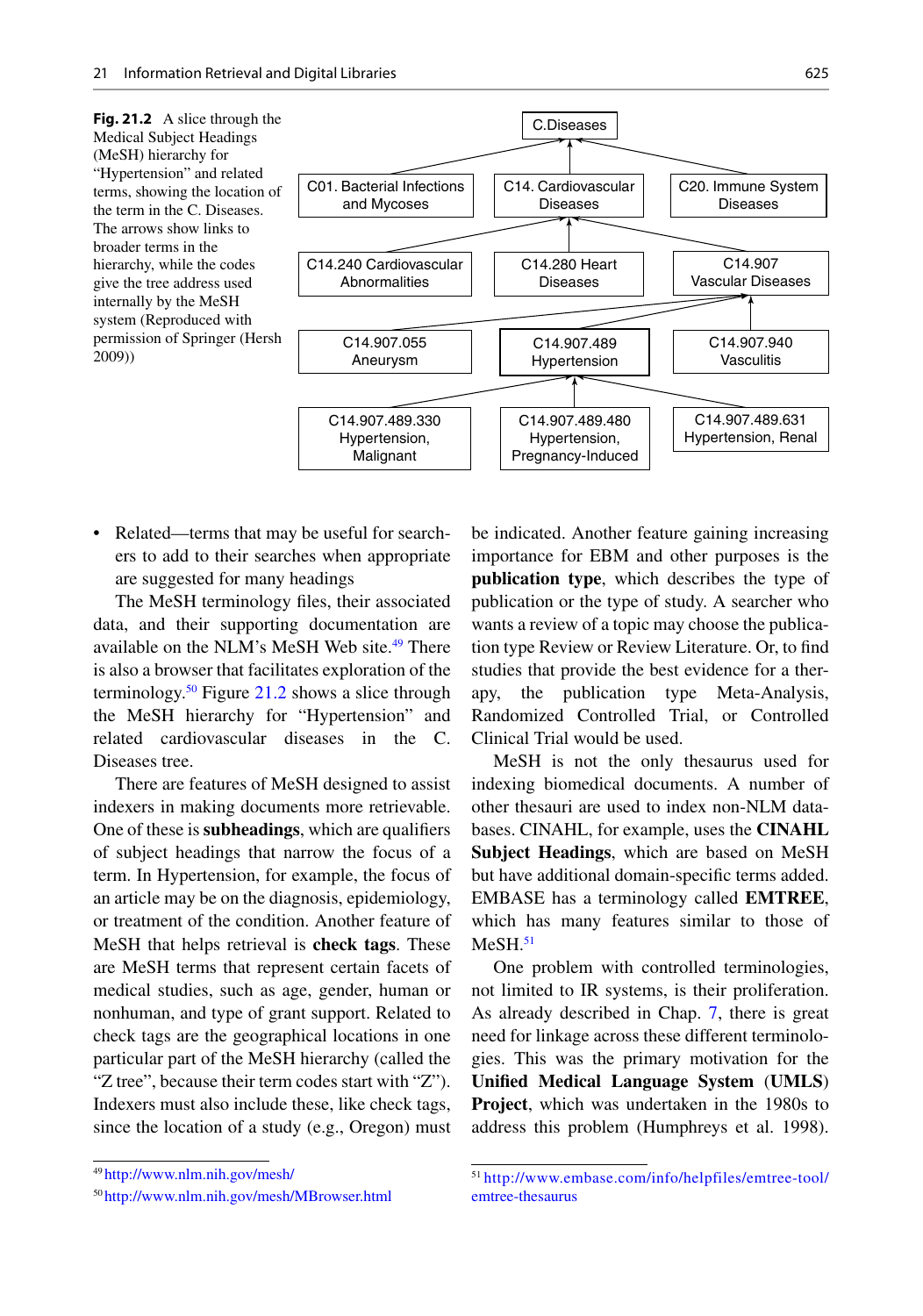<span id="page-12-2"></span>

• Related—terms that may be useful for searchers to add to their searches when appropriate are suggested for many headings

The MeSH terminology files, their associated data, and their supporting documentation are available on the NLM's MeSH Web site.<sup>49</sup> There is also a browser that facilitates exploration of the terminology.<sup>50</sup> Figure [21.2](#page-12-2) shows a slice through the MeSH hierarchy for "Hypertension" and related cardiovascular diseases in the C. Diseases tree.

There are features of MeSH designed to assist indexers in making documents more retrievable. One of these is **subheadings**, which are qualifiers of subject headings that narrow the focus of a term. In Hypertension, for example, the focus of an article may be on the diagnosis, epidemiology, or treatment of the condition. Another feature of MeSH that helps retrieval is **check tags**. These are MeSH terms that represent certain facets of medical studies, such as age, gender, human or nonhuman, and type of grant support. Related to check tags are the geographical locations in one particular part of the MeSH hierarchy (called the "Z tree", because their term codes start with "Z"). Indexers must also include these, like check tags, since the location of a study (e.g., Oregon) must

be indicated. Another feature gaining increasing importance for EBM and other purposes is the **publication type**, which describes the type of publication or the type of study. A searcher who wants a review of a topic may choose the publication type Review or Review Literature. Or, to find studies that provide the best evidence for a therapy, the publication type Meta-Analysis, Randomized Controlled Trial, or Controlled Clinical Trial would be used.

MeSH is not the only thesaurus used for indexing biomedical documents. A number of other thesauri are used to index non-NLM databases. CINAHL, for example, uses the **CINAHL Subject Headings**, which are based on MeSH but have additional domain-specific terms added. EMBASE has a terminology called **EMTREE**, which has many features similar to those of MeSH.<sup>[51](#page-12-3)</sup>

One problem with controlled terminologies, not limited to IR systems, is their proliferation. As already described in Chap. [7,](http://dx.doi.org/10.1007/978-1-4471-4474-8_7) there is great need for linkage across these different terminologies. This was the primary motivation for the **Unified Medical Language System** (**UMLS**) **Project**, which was undertaken in the 1980s to address this problem (Humphreys et al. 1998).

<span id="page-12-0"></span><sup>49</sup> [http://www.nlm.nih.gov/mesh/](http://www.nlm.nih.gov/mesh/ )

<span id="page-12-1"></span><sup>50</sup> [http://www.nlm.nih.gov/mesh/MBrowser.html](http://www.nlm.nih.gov/mesh/MBrowser.html )

<span id="page-12-3"></span><sup>51</sup> [http://www.embase.com/info/helpfiles/emtree-tool/](http://www.embase.com/info/helpfiles/emtree-tool/emtree-thesaurus ) [emtree-thesaurus](http://www.embase.com/info/helpfiles/emtree-tool/emtree-thesaurus )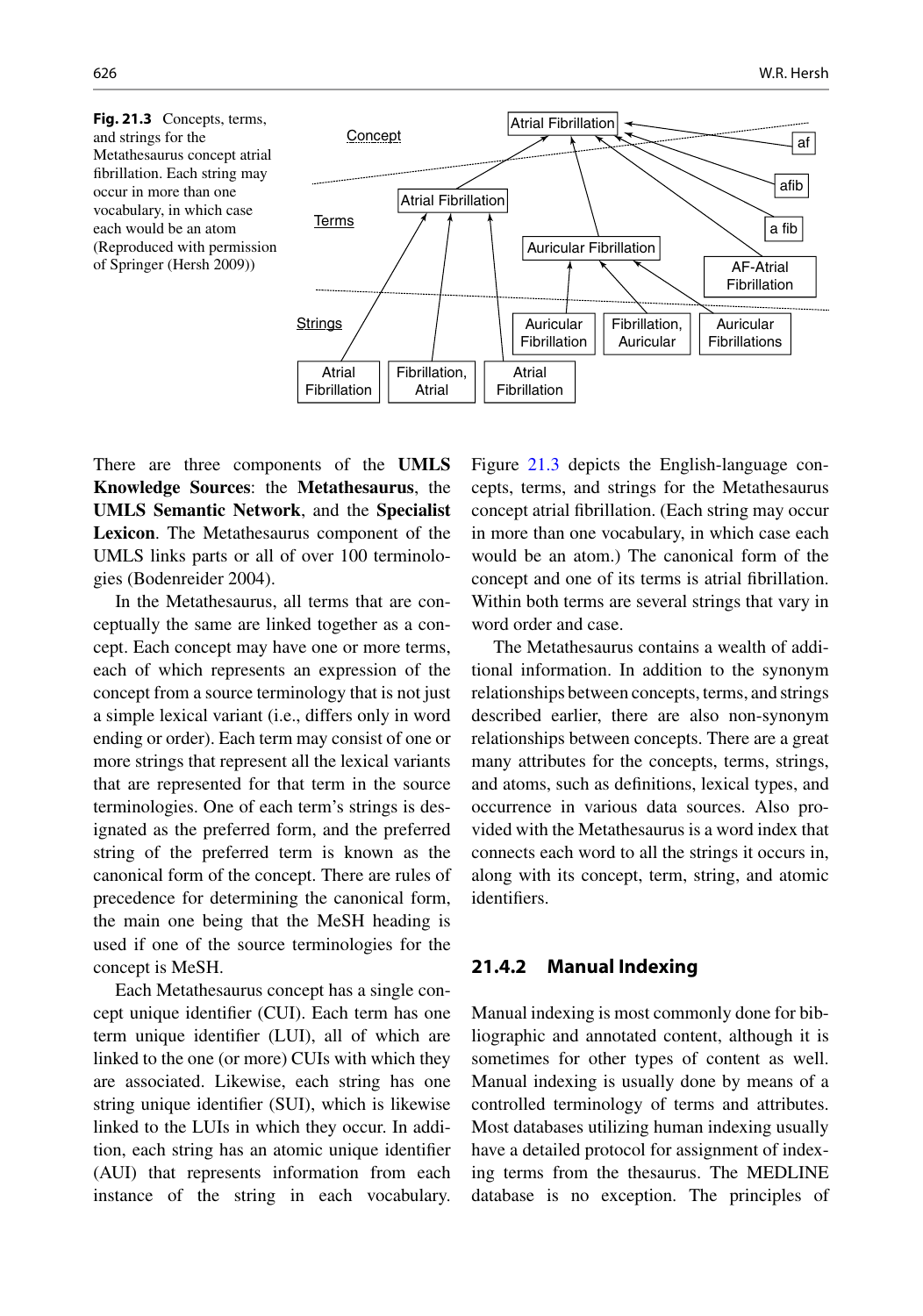<span id="page-13-0"></span>

There are three components of the **UMLS Knowledge Sources**: the **Metathesaurus**, the **UMLS Semantic Network**, and the **Specialist Lexicon**. The Metathesaurus component of the UMLS links parts or all of over 100 terminologies (Bodenreider 2004).

In the Metathesaurus, all terms that are conceptually the same are linked together as a concept. Each concept may have one or more terms, each of which represents an expression of the concept from a source terminology that is not just a simple lexical variant (i.e., differs only in word ending or order). Each term may consist of one or more strings that represent all the lexical variants that are represented for that term in the source terminologies. One of each term's strings is designated as the preferred form, and the preferred string of the preferred term is known as the canonical form of the concept. There are rules of precedence for determining the canonical form, the main one being that the MeSH heading is used if one of the source terminologies for the concept is MeSH.

Each Metathesaurus concept has a single concept unique identifier (CUI). Each term has one term unique identifier (LUI), all of which are linked to the one (or more) CUIs with which they are associated. Likewise, each string has one string unique identifier (SUI), which is likewise linked to the LUIs in which they occur. In addition, each string has an atomic unique identifier (AUI) that represents information from each instance of the string in each vocabulary.

Figure [21.3](#page-13-0) depicts the English-language concepts, terms, and strings for the Metathesaurus concept atrial fibrillation. (Each string may occur in more than one vocabulary, in which case each would be an atom.) The canonical form of the concept and one of its terms is atrial fibrillation. Within both terms are several strings that vary in word order and case.

The Metathesaurus contains a wealth of additional information. In addition to the synonym relationships between concepts, terms, and strings described earlier, there are also non-synonym relationships between concepts. There are a great many attributes for the concepts, terms, strings, and atoms, such as definitions, lexical types, and occurrence in various data sources. Also provided with the Metathesaurus is a word index that connects each word to all the strings it occurs in, along with its concept, term, string, and atomic identifiers.

## **21.4.2 Manual Indexing**

Manual indexing is most commonly done for bibliographic and annotated content, although it is sometimes for other types of content as well. Manual indexing is usually done by means of a controlled terminology of terms and attributes. Most databases utilizing human indexing usually have a detailed protocol for assignment of indexing terms from the thesaurus. The MEDLINE database is no exception. The principles of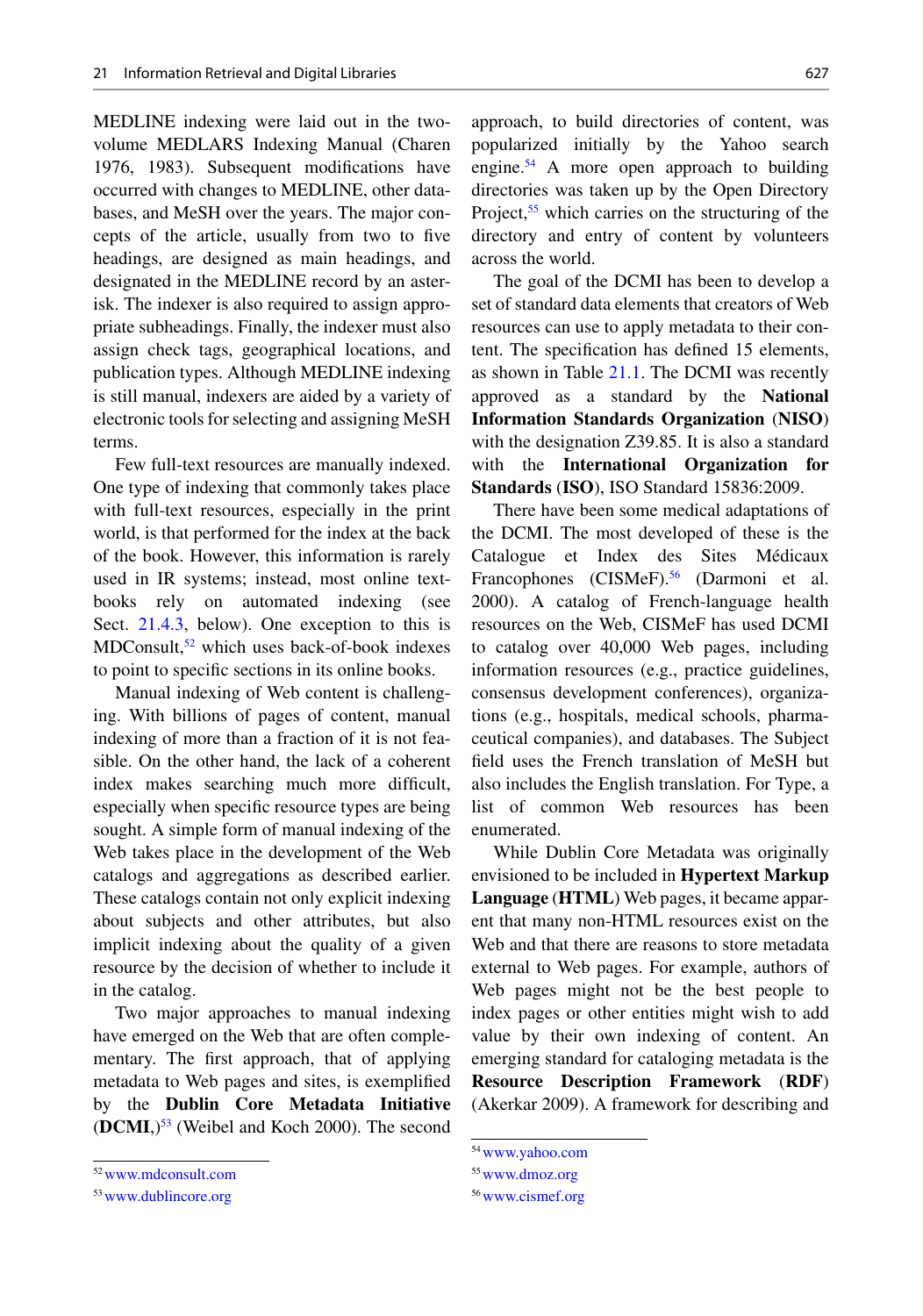MEDLINE indexing were laid out in the twovolume MEDLARS Indexing Manual (Charen 1976, 1983). Subsequent modifications have occurred with changes to MEDLINE, other databases, and MeSH over the years. The major concepts of the article, usually from two to five headings, are designed as main headings, and designated in the MEDLINE record by an asterisk. The indexer is also required to assign appropriate subheadings. Finally, the indexer must also assign check tags, geographical locations, and publication types. Although MEDLINE indexing is still manual, indexers are aided by a variety of electronic tools for selecting and assigning MeSH terms.

Few full-text resources are manually indexed. One type of indexing that commonly takes place with full-text resources, especially in the print world, is that performed for the index at the back of the book. However, this information is rarely used in IR systems; instead, most online textbooks rely on automated indexing (see Sect. [21.4.3,](#page-15-0) below). One exception to this is  $MDConsult$ <sup>52</sup> which uses back-of-book indexes to point to specific sections in its online books.

Manual indexing of Web content is challenging. With billions of pages of content, manual indexing of more than a fraction of it is not feasible. On the other hand, the lack of a coherent index makes searching much more difficult, especially when specific resource types are being sought. A simple form of manual indexing of the Web takes place in the development of the Web catalogs and aggregations as described earlier. These catalogs contain not only explicit indexing about subjects and other attributes, but also implicit indexing about the quality of a given resource by the decision of whether to include it in the catalog.

Two major approaches to manual indexing have emerged on the Web that are often complementary. The first approach, that of applying metadata to Web pages and sites, is exemplified by the **Dublin Core Metadata Initiative** (**DCMI**,)[53](#page-14-1) (Weibel and Koch 2000). The second

approach, to build directories of content, was popularized initially by the Yahoo search engine.<sup>54</sup> A more open approach to building directories was taken up by the Open Directory Project,  $55$  which carries on the structuring of the directory and entry of content by volunteers across the world.

The goal of the DCMI has been to develop a set of standard data elements that creators of Web resources can use to apply metadata to their content. The specification has defined 15 elements, as shown in Table [21.1.](#page-15-1) The DCMI was recently approved as a standard by the **National Information Standards Organization** (**NISO**) with the designation Z39.85. It is also a standard with the **International Organization for Standards** (**ISO**), ISO Standard 15836:2009.

There have been some medical adaptations of the DCMI. The most developed of these is the Catalogue et Index des Sites Médicaux Francophones (CISMeF).<sup>56</sup> (Darmoni et al. 2000). A catalog of French-language health resources on the Web, CISMeF has used DCMI to catalog over 40,000 Web pages, including information resources (e.g., practice guidelines, consensus development conferences), organizations (e.g., hospitals, medical schools, pharmaceutical companies), and databases. The Subject field uses the French translation of MeSH but also includes the English translation. For Type, a list of common Web resources has been enumerated.

While Dublin Core Metadata was originally envisioned to be included in **Hypertext Markup Language** (**HTML**) Web pages, it became apparent that many non-HTML resources exist on the Web and that there are reasons to store metadata external to Web pages. For example, authors of Web pages might not be the best people to index pages or other entities might wish to add value by their own indexing of content. An emerging standard for cataloging metadata is the **Resource Description Framework** (**RDF**) (Akerkar 2009). A framework for describing and

<span id="page-14-0"></span><sup>52</sup>[www.mdconsult.com](http://www.mdconsult.com/ )

<span id="page-14-1"></span><sup>53</sup>[www.dublincore.org](http://www.dublincore.org/ )

<span id="page-14-2"></span><sup>54</sup>[www.yahoo.com](http://www.yahoo.com/ )

<span id="page-14-3"></span><sup>55</sup>[www.dmoz.org](http://www.dmoz.org/ )

<span id="page-14-4"></span><sup>56</sup>[www.cismef.org](http://www.cismef.org/ )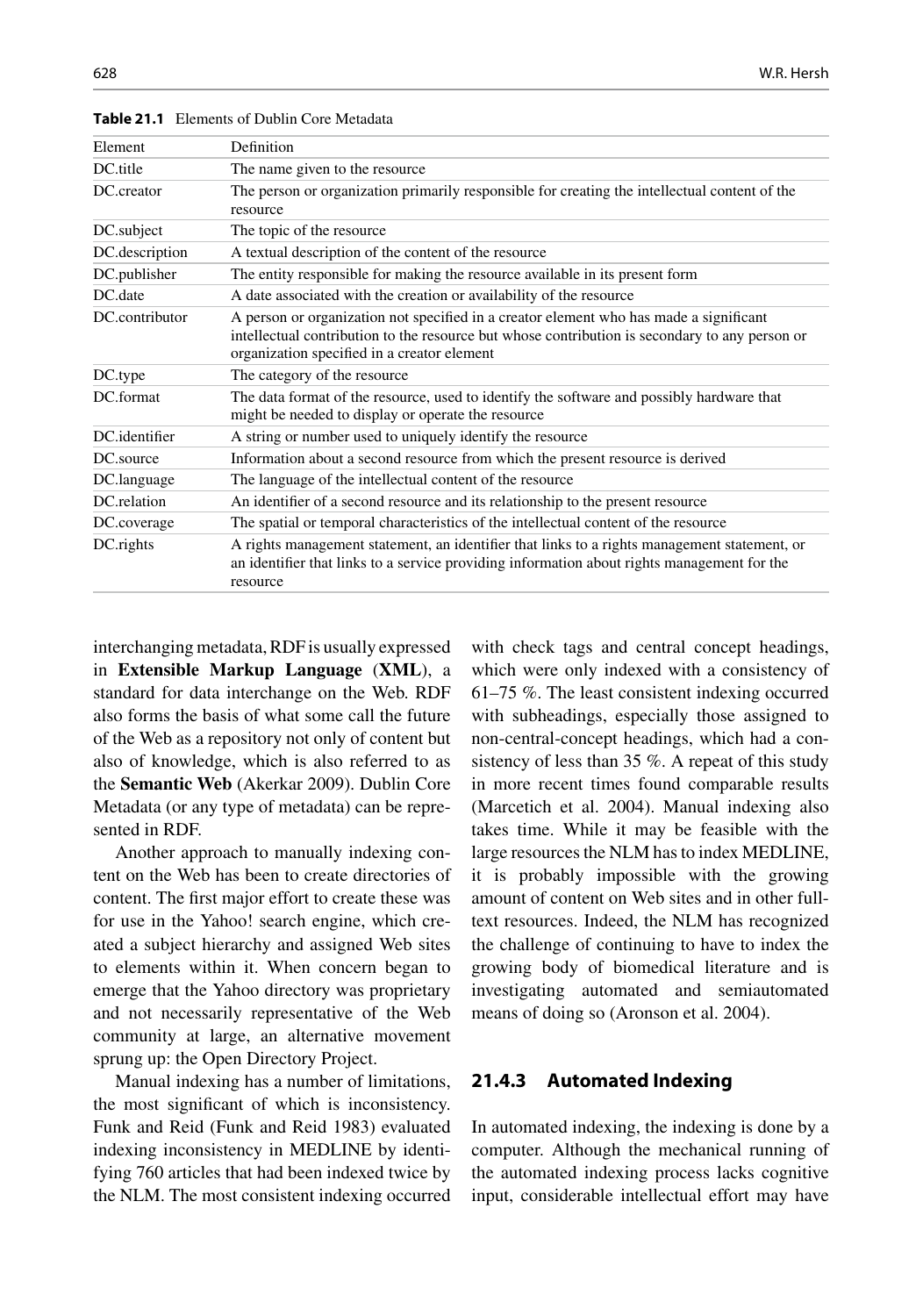| Element        | Definition                                                                                                                                                                                                                              |
|----------------|-----------------------------------------------------------------------------------------------------------------------------------------------------------------------------------------------------------------------------------------|
| DC.title       | The name given to the resource                                                                                                                                                                                                          |
| DC.creator     | The person or organization primarily responsible for creating the intellectual content of the<br>resource                                                                                                                               |
| DC.subject     | The topic of the resource                                                                                                                                                                                                               |
| DC.description | A textual description of the content of the resource                                                                                                                                                                                    |
| DC.publisher   | The entity responsible for making the resource available in its present form                                                                                                                                                            |
| DC.date        | A date associated with the creation or availability of the resource                                                                                                                                                                     |
| DC.contributor | A person or organization not specified in a creator element who has made a significant<br>intellectual contribution to the resource but whose contribution is secondary to any person or<br>organization specified in a creator element |
| DC.type        | The category of the resource                                                                                                                                                                                                            |
| DC.format      | The data format of the resource, used to identify the software and possibly hardware that<br>might be needed to display or operate the resource                                                                                         |
| DC.identifier  | A string or number used to uniquely identify the resource                                                                                                                                                                               |
| DC.source      | Information about a second resource from which the present resource is derived                                                                                                                                                          |
| DC.language    | The language of the intellectual content of the resource                                                                                                                                                                                |
| DC.relation    | An identifier of a second resource and its relationship to the present resource                                                                                                                                                         |
| DC.coverage    | The spatial or temporal characteristics of the intellectual content of the resource                                                                                                                                                     |
| DC.rights      | A rights management statement, an identifier that links to a rights management statement, or<br>an identifier that links to a service providing information about rights management for the<br>resource                                 |

<span id="page-15-1"></span>**Table 21.1** Elements of Dublin Core Metadata

interchanging metadata, RDF is usually expressed in **Extensible Markup Language** (**XML**), a standard for data interchange on the Web. RDF also forms the basis of what some call the future of the Web as a repository not only of content but also of knowledge, which is also referred to as the **Semantic Web** (Akerkar 2009). Dublin Core Metadata (or any type of metadata) can be represented in RDF.

Another approach to manually indexing content on the Web has been to create directories of content. The first major effort to create these was for use in the Yahoo! search engine, which created a subject hierarchy and assigned Web sites to elements within it. When concern began to emerge that the Yahoo directory was proprietary and not necessarily representative of the Web community at large, an alternative movement sprung up: the Open Directory Project.

Manual indexing has a number of limitations, the most significant of which is inconsistency. Funk and Reid (Funk and Reid 1983) evaluated indexing inconsistency in MEDLINE by identifying 760 articles that had been indexed twice by the NLM. The most consistent indexing occurred

with check tags and central concept headings, which were only indexed with a consistency of 61–75 %. The least consistent indexing occurred with subheadings, especially those assigned to non-central-concept headings, which had a consistency of less than 35 %. A repeat of this study in more recent times found comparable results (Marcetich et al. 2004). Manual indexing also takes time. While it may be feasible with the large resources the NLM has to index MEDLINE, it is probably impossible with the growing amount of content on Web sites and in other fulltext resources. Indeed, the NLM has recognized the challenge of continuing to have to index the growing body of biomedical literature and is investigating automated and semiautomated means of doing so (Aronson et al. 2004).

## <span id="page-15-0"></span>**21.4.3 Automated Indexing**

In automated indexing, the indexing is done by a computer. Although the mechanical running of the automated indexing process lacks cognitive input, considerable intellectual effort may have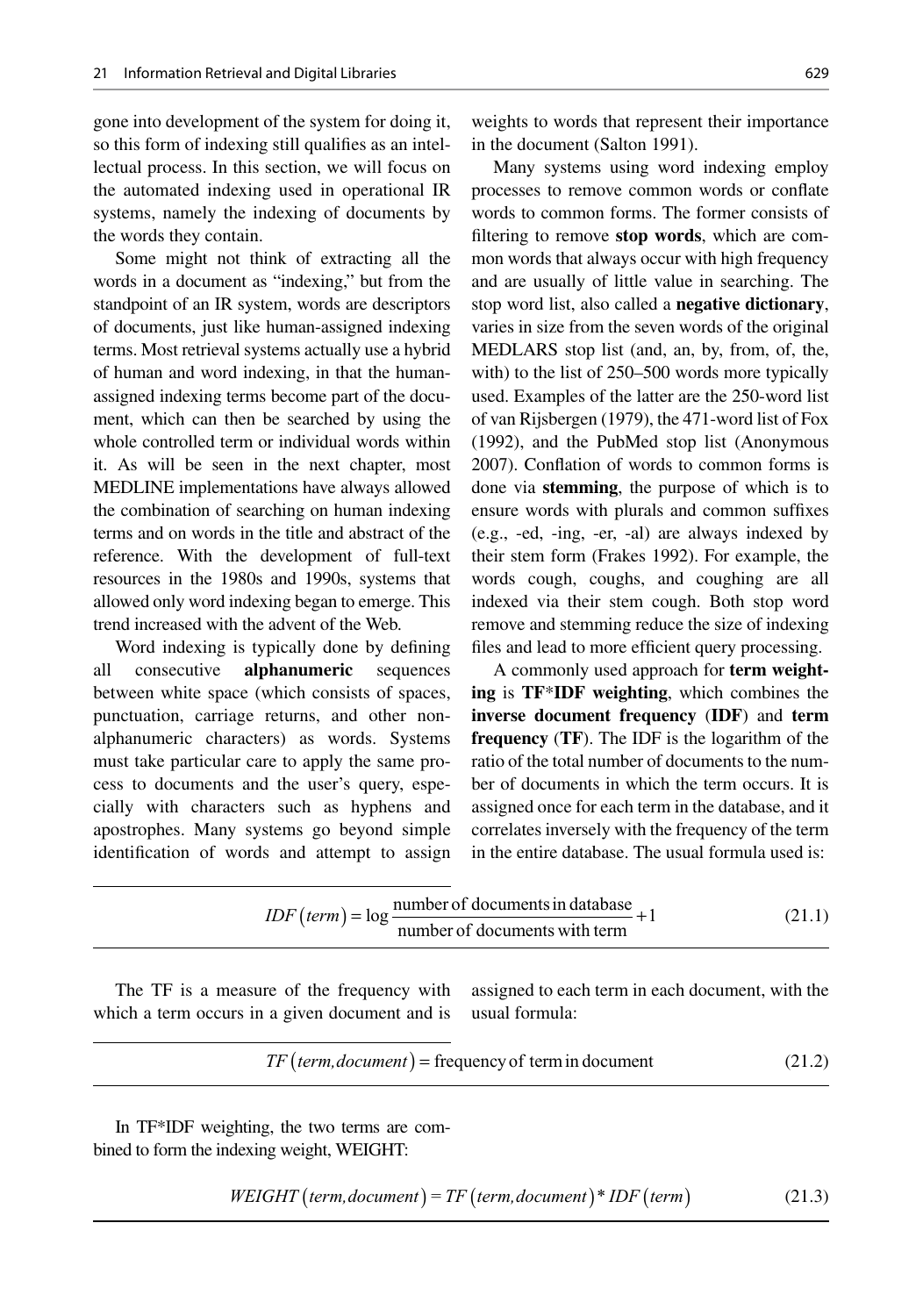gone into development of the system for doing it, so this form of indexing still qualifies as an intellectual process. In this section, we will focus on the automated indexing used in operational IR systems, namely the indexing of documents by the words they contain.

Some might not think of extracting all the words in a document as "indexing," but from the standpoint of an IR system, words are descriptors of documents, just like human-assigned indexing terms. Most retrieval systems actually use a hybrid of human and word indexing, in that the humanassigned indexing terms become part of the document, which can then be searched by using the whole controlled term or individual words within it. As will be seen in the next chapter, most MEDLINE implementations have always allowed the combination of searching on human indexing terms and on words in the title and abstract of the reference. With the development of full-text resources in the 1980s and 1990s, systems that allowed only word indexing began to emerge. This trend increased with the advent of the Web.

Word indexing is typically done by defining all consecutive **alphanumeric** sequences between white space (which consists of spaces, punctuation, carriage returns, and other nonalphanumeric characters) as words. Systems must take particular care to apply the same process to documents and the user's query, especially with characters such as hyphens and apostrophes. Many systems go beyond simple identification of words and attempt to assign weights to words that represent their importance in the document (Salton 1991).

Many systems using word indexing employ processes to remove common words or conflate words to common forms. The former consists of filtering to remove **stop words**, which are common words that always occur with high frequency and are usually of little value in searching. The stop word list, also called a **negative dictionary**, varies in size from the seven words of the original MEDLARS stop list (and, an, by, from, of, the, with) to the list of 250–500 words more typically used. Examples of the latter are the 250-word list of van Rijsbergen (1979), the 471-word list of Fox (1992), and the PubMed stop list (Anonymous 2007). Conflation of words to common forms is done via **stemming**, the purpose of which is to ensure words with plurals and common suffixes (e.g., -ed, -ing, -er, -al) are always indexed by their stem form (Frakes 1992). For example, the words cough, coughs, and coughing are all indexed via their stem cough. Both stop word remove and stemming reduce the size of indexing files and lead to more efficient query processing.

A commonly used approach for **term weighting** is **TF**\***IDF weighting**, which combines the **inverse document frequency** (**IDF**) and **term frequency** (**TF**). The IDF is the logarithm of the ratio of the total number of documents to the number of documents in which the term occurs. It is assigned once for each term in the database, and it correlates inversely with the frequency of the term in the entire database. The usual formula used is:

$$
IDF (term) = \log \frac{\text{number of documents in database}}{\text{number of documents with term}} + 1
$$
 (21.1)

The TF is a measure of the frequency with which a term occurs in a given document and is assigned to each term in each document, with the usual formula:

$$
TF\left(\text{term},\text{document}\right) = \text{frequency of term in document} \tag{21.2}
$$

In TF\*IDF weighting, the two terms are combined to form the indexing weight, WEIGHT:

$$
WEIGHT\left( \text{term}, \text{document} \right) = TF\left( \text{term}, \text{document} \right) * IDF\left( \text{term} \right) \tag{21.3}
$$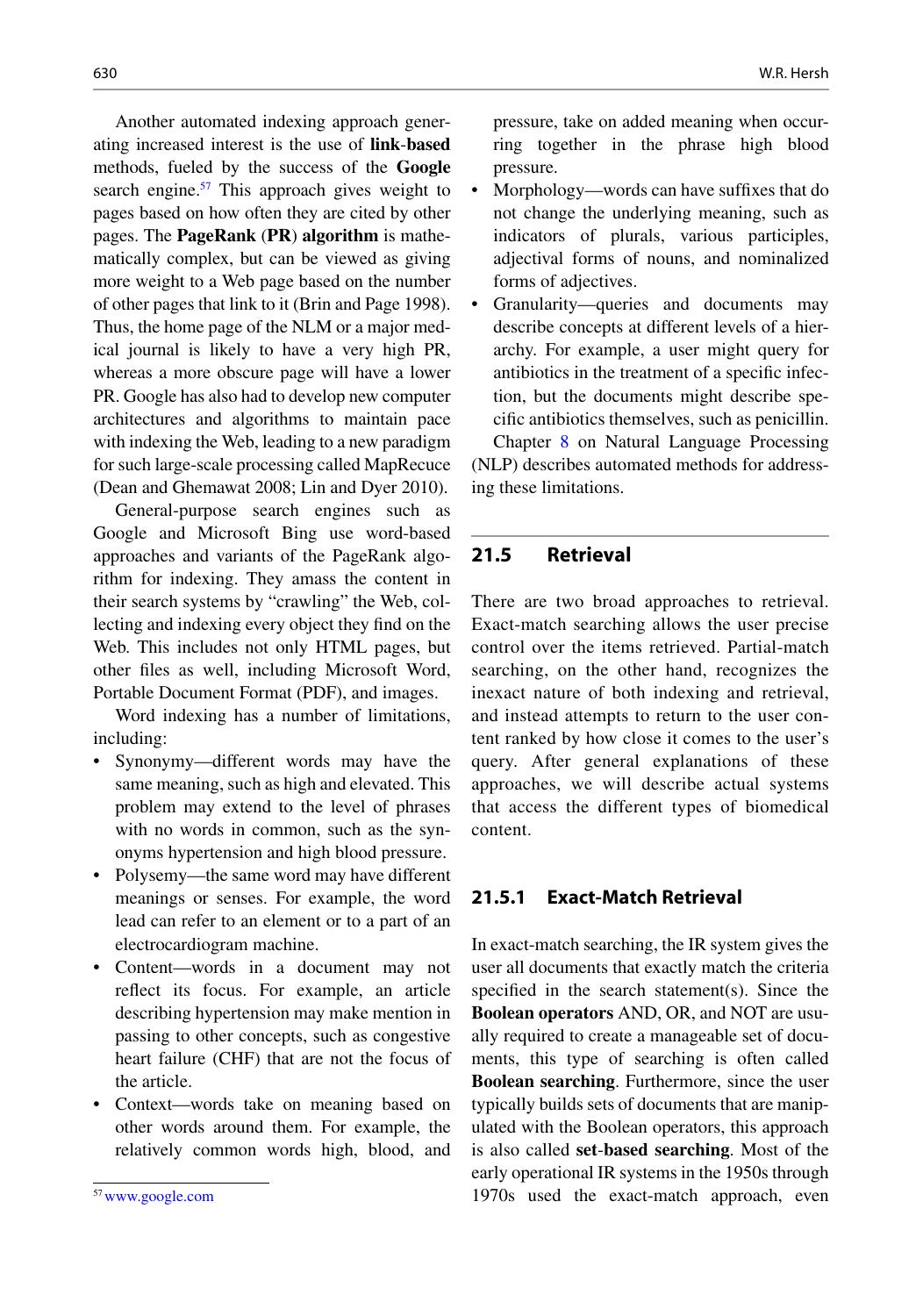Another automated indexing approach generating increased interest is the use of **link**-**based** methods, fueled by the success of the **Google** search engine.<sup>[57](#page-17-0)</sup> This approach gives weight to pages based on how often they are cited by other pages. The **PageRank** (**PR**) **algorithm** is mathematically complex, but can be viewed as giving more weight to a Web page based on the number of other pages that link to it (Brin and Page 1998). Thus, the home page of the NLM or a major medical journal is likely to have a very high PR, whereas a more obscure page will have a lower PR. Google has also had to develop new computer architectures and algorithms to maintain pace with indexing the Web, leading to a new paradigm for such large-scale processing called MapRecuce (Dean and Ghemawat 2008; Lin and Dyer 2010).

General-purpose search engines such as Google and Microsoft Bing use word-based approaches and variants of the PageRank algorithm for indexing. They amass the content in their search systems by "crawling" the Web, collecting and indexing every object they find on the Web. This includes not only HTML pages, but other files as well, including Microsoft Word, Portable Document Format (PDF), and images.

Word indexing has a number of limitations, including:

- Synonymy—different words may have the same meaning, such as high and elevated. This problem may extend to the level of phrases with no words in common, such as the synonyms hypertension and high blood pressure.
- Polysemy—the same word may have different meanings or senses. For example, the word lead can refer to an element or to a part of an electrocardiogram machine.
- Content—words in a document may not reflect its focus. For example, an article describing hypertension may make mention in passing to other concepts, such as congestive heart failure (CHF) that are not the focus of the article.
- Context—words take on meaning based on other words around them. For example, the relatively common words high, blood, and

pressure, take on added meaning when occurring together in the phrase high blood pressure.

W.R. Hersh

- Morphology—words can have suffixes that do not change the underlying meaning, such as indicators of plurals, various participles, adjectival forms of nouns, and nominalized forms of adjectives.
- Granularity—queries and documents may describe concepts at different levels of a hierarchy. For example, a user might query for antibiotics in the treatment of a specific infection, but the documents might describe specific antibiotics themselves, such as penicillin.

Chapter [8](http://dx.doi.org/10.1007/978-1-4471-4474-8_8) on Natural Language Processing (NLP) describes automated methods for addressing these limitations.

### **21.5 Retrieval**

There are two broad approaches to retrieval. Exact-match searching allows the user precise control over the items retrieved. Partial-match searching, on the other hand, recognizes the inexact nature of both indexing and retrieval, and instead attempts to return to the user content ranked by how close it comes to the user's query. After general explanations of these approaches, we will describe actual systems that access the different types of biomedical content.

## **21.5.1 Exact-Match Retrieval**

In exact-match searching, the IR system gives the user all documents that exactly match the criteria specified in the search statement(s). Since the **Boolean operators** AND, OR, and NOT are usually required to create a manageable set of documents, this type of searching is often called **Boolean searching**. Furthermore, since the user typically builds sets of documents that are manipulated with the Boolean operators, this approach is also called **set**-**based searching**. Most of the early operational IR systems in the 1950s through 1970s used the exact-match approach, even

<span id="page-17-0"></span><sup>57</sup>[www.google.com](http://www.google.com/ )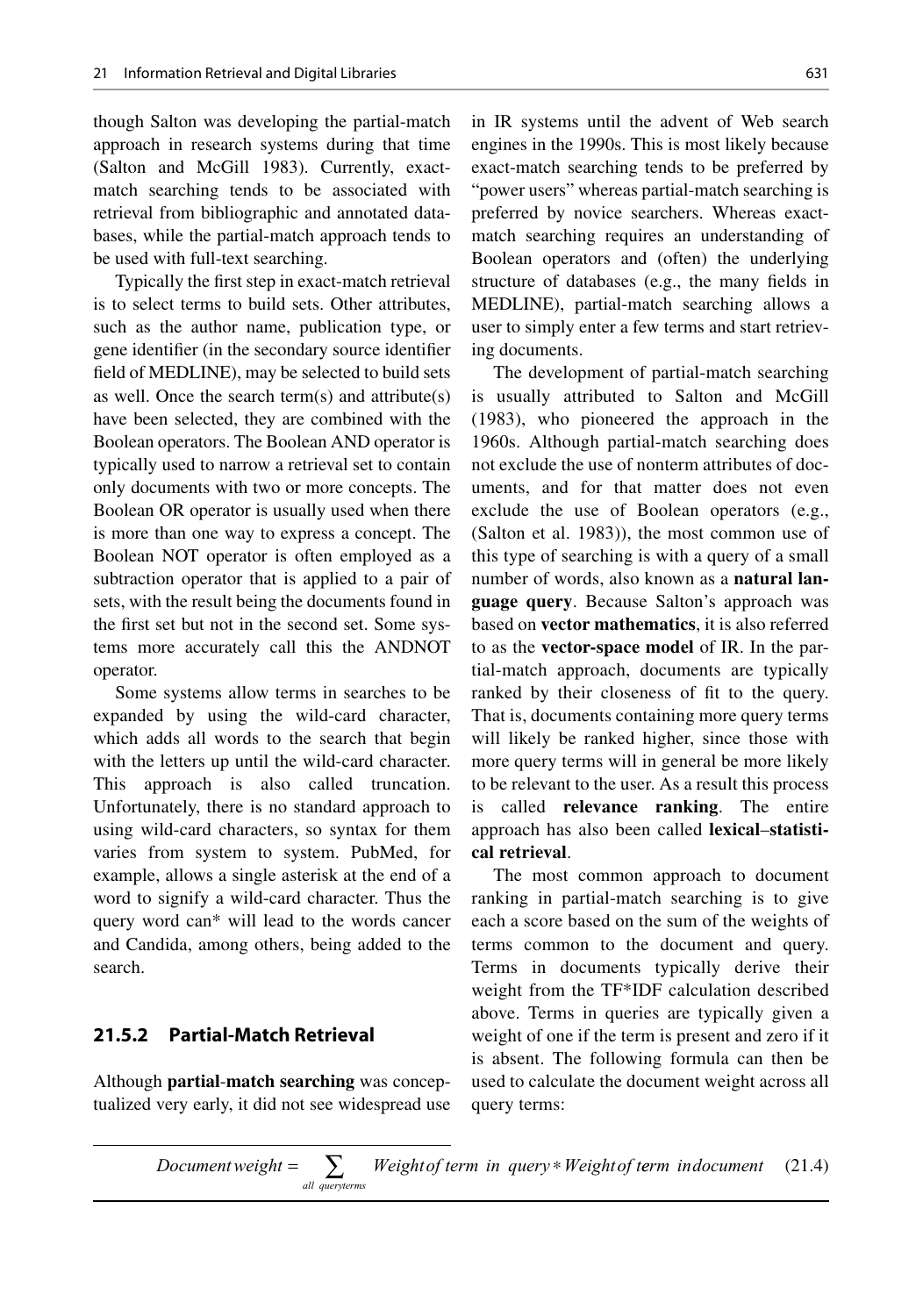though Salton was developing the partial-match approach in research systems during that time (Salton and McGill 1983). Currently, exactmatch searching tends to be associated with retrieval from bibliographic and annotated databases, while the partial-match approach tends to be used with full-text searching.

Typically the first step in exact-match retrieval is to select terms to build sets. Other attributes, such as the author name, publication type, or gene identifier (in the secondary source identifier field of MEDLINE), may be selected to build sets as well. Once the search term(s) and attribute(s) have been selected, they are combined with the Boolean operators. The Boolean AND operator is typically used to narrow a retrieval set to contain only documents with two or more concepts. The Boolean OR operator is usually used when there is more than one way to express a concept. The Boolean NOT operator is often employed as a subtraction operator that is applied to a pair of sets, with the result being the documents found in the first set but not in the second set. Some systems more accurately call this the ANDNOT operator.

Some systems allow terms in searches to be expanded by using the wild-card character, which adds all words to the search that begin with the letters up until the wild-card character. This approach is also called truncation. Unfortunately, there is no standard approach to using wild-card characters, so syntax for them varies from system to system. PubMed, for example, allows a single asterisk at the end of a word to signify a wild-card character. Thus the query word can\* will lead to the words cancer and Candida, among others, being added to the search.

## **21.5.2 Partial-Match Retrieval**

Although **partial**-**match searching** was conceptualized very early, it did not see widespread use

in IR systems until the advent of Web search engines in the 1990s. This is most likely because exact-match searching tends to be preferred by "power users" whereas partial-match searching is preferred by novice searchers. Whereas exactmatch searching requires an understanding of Boolean operators and (often) the underlying structure of databases (e.g., the many fields in MEDLINE), partial-match searching allows a user to simply enter a few terms and start retrieving documents.

The development of partial-match searching is usually attributed to Salton and McGill (1983), who pioneered the approach in the 1960s. Although partial-match searching does not exclude the use of nonterm attributes of documents, and for that matter does not even exclude the use of Boolean operators (e.g., (Salton et al. 1983)), the most common use of this type of searching is with a query of a small number of words, also known as a **natural language query**. Because Salton's approach was based on **vector mathematics**, it is also referred to as the **vector-space model** of IR. In the partial-match approach, documents are typically ranked by their closeness of fit to the query. That is, documents containing more query terms will likely be ranked higher, since those with more query terms will in general be more likely to be relevant to the user. As a result this process is called **relevance ranking**. The entire approach has also been called **lexical**–**statistical retrieval**.

The most common approach to document ranking in partial-match searching is to give each a score based on the sum of the weights of terms common to the document and query. Terms in documents typically derive their weight from the TF\*IDF calculation described above. Terms in queries are typically given a weight of one if the term is present and zero if it is absent. The following formula can then be used to calculate the document weight across all query terms:

*Documentweight* =  $\sum$  *Weightof term in query* \* *Weightof term indocument* (21.4) *all queryterms*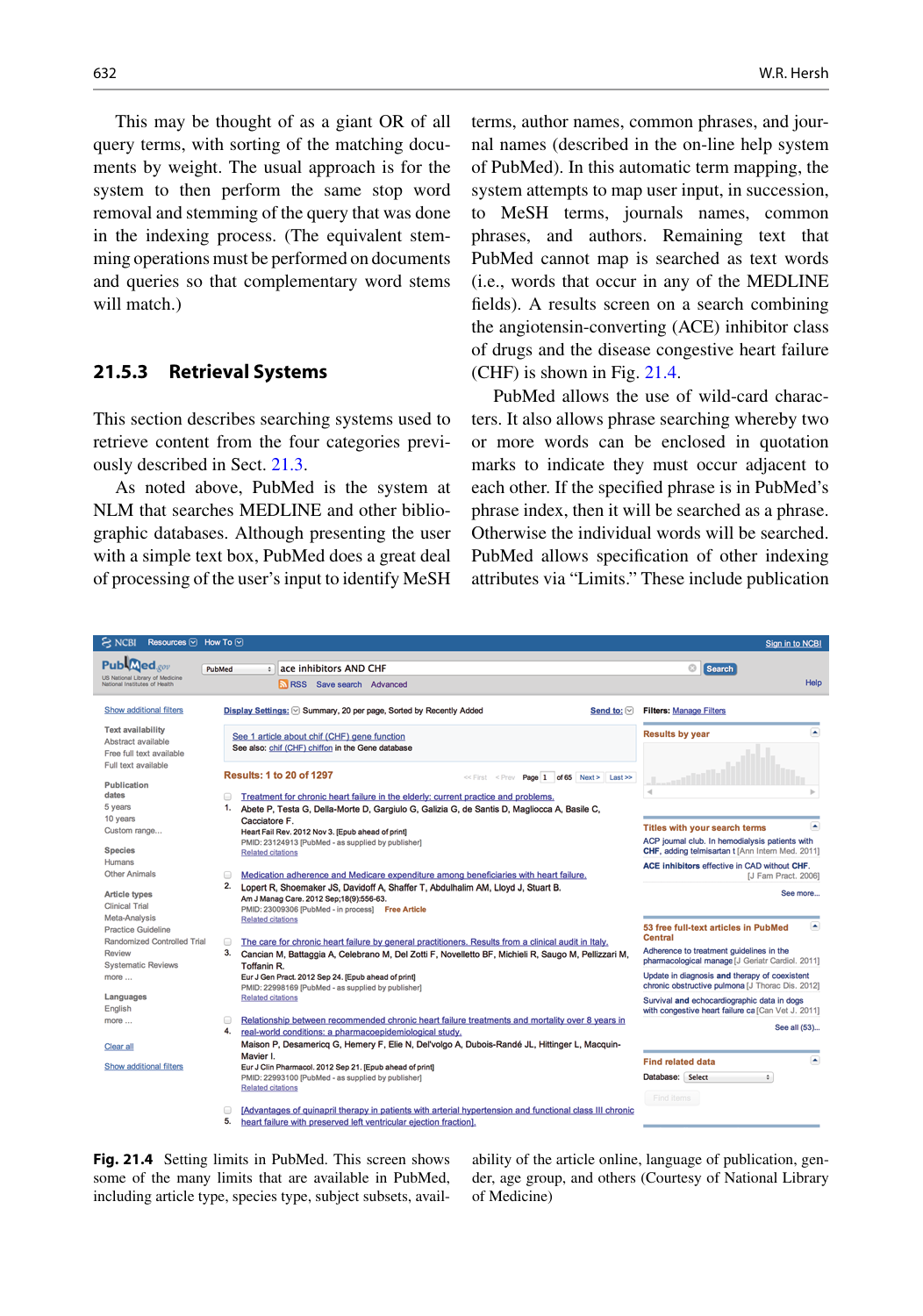This may be thought of as a giant OR of all query terms, with sorting of the matching documents by weight. The usual approach is for the system to then perform the same stop word removal and stemming of the query that was done in the indexing process. (The equivalent stemming operations must be performed on documents and queries so that complementary word stems will match.)

## **21.5.3 Retrieval Systems**

This section describes searching systems used to retrieve content from the four categories previously described in Sect. [21.3](#page-6-3).

As noted above, PubMed is the system at NLM that searches MEDLINE and other bibliographic databases. Although presenting the user with a simple text box, PubMed does a great deal of processing of the user's input to identify MeSH

terms, author names, common phrases, and journal names (described in the on-line help system of PubMed). In this automatic term mapping, the system attempts to map user input, in succession, to MeSH terms, journals names, common phrases, and authors. Remaining text that PubMed cannot map is searched as text words (i.e., words that occur in any of the MEDLINE fields). A results screen on a search combining the angiotensin-converting (ACE) inhibitor class of drugs and the disease congestive heart failure (CHF) is shown in Fig. [21.4](#page-19-0).

PubMed allows the use of wild-card characters. It also allows phrase searching whereby two or more words can be enclosed in quotation marks to indicate they must occur adjacent to each other. If the specified phrase is in PubMed's phrase index, then it will be searched as a phrase. Otherwise the individual words will be searched. PubMed allows specification of other indexing attributes via "Limits." These include publication

<span id="page-19-0"></span>

**Fig. 21.4** Setting limits in PubMed. This screen shows some of the many limits that are available in PubMed, including article type, species type, subject subsets, availability of the article online, language of publication, gender, age group, and others (Courtesy of National Library of Medicine)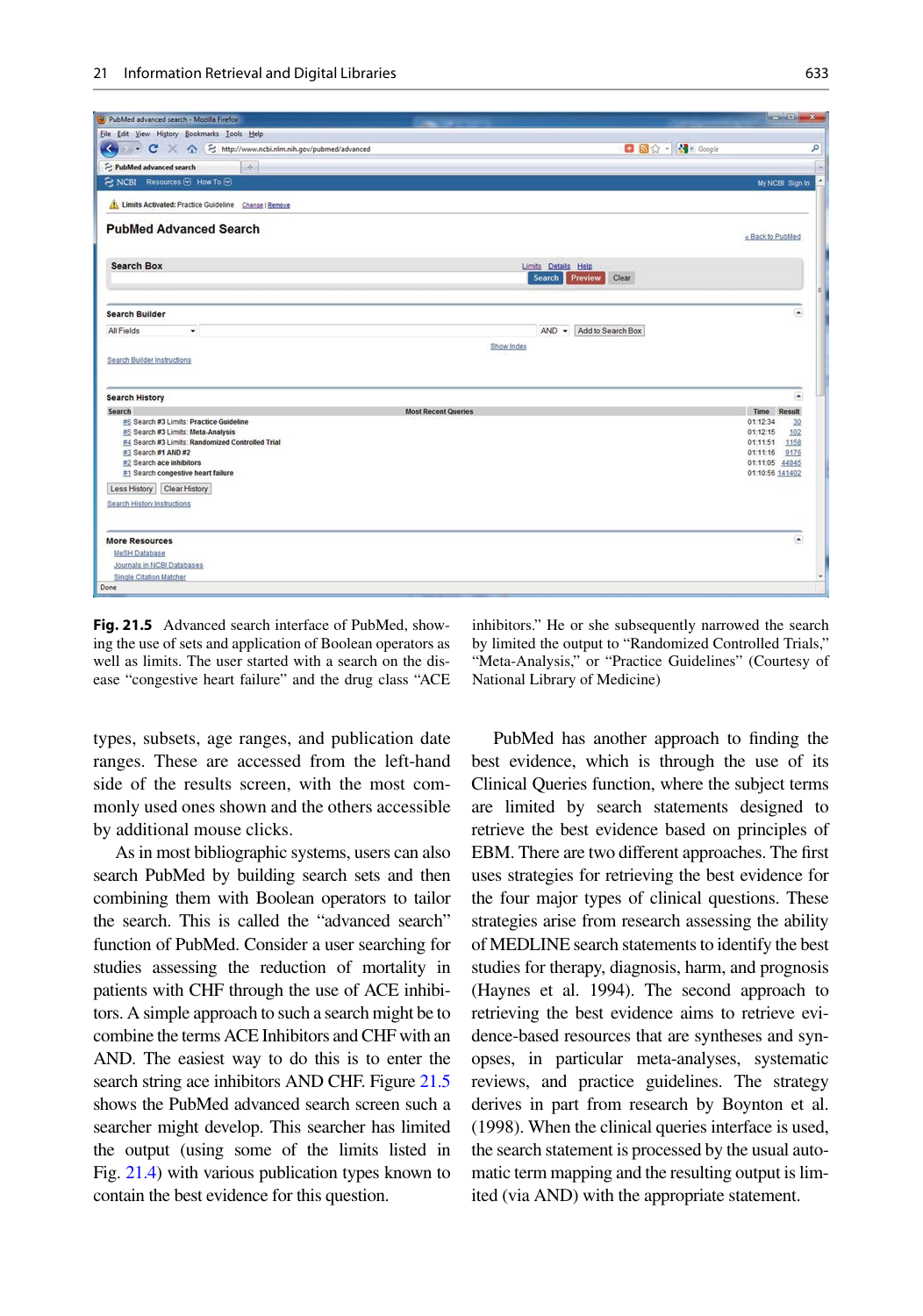<span id="page-20-0"></span>

**Fig. 21.5** Advanced search interface of PubMed, showing the use of sets and application of Boolean operators as well as limits. The user started with a search on the disease "congestive heart failure" and the drug class "ACE

types, subsets, age ranges, and publication date ranges. These are accessed from the left-hand side of the results screen, with the most commonly used ones shown and the others accessible by additional mouse clicks.

As in most bibliographic systems, users can also search PubMed by building search sets and then combining them with Boolean operators to tailor the search. This is called the "advanced search" function of PubMed. Consider a user searching for studies assessing the reduction of mortality in patients with CHF through the use of ACE inhibitors. A simple approach to such a search might be to combine the terms ACE Inhibitors and CHF with an AND. The easiest way to do this is to enter the search string ace inhibitors AND CHF. Figure [21.5](#page-20-0) shows the PubMed advanced search screen such a searcher might develop. This searcher has limited the output (using some of the limits listed in Fig. [21.4\)](#page-19-0) with various publication types known to contain the best evidence for this question.

inhibitors." He or she subsequently narrowed the search by limited the output to "Randomized Controlled Trials," "Meta-Analysis," or "Practice Guidelines" (Courtesy of National Library of Medicine)

PubMed has another approach to finding the best evidence, which is through the use of its Clinical Queries function, where the subject terms are limited by search statements designed to retrieve the best evidence based on principles of EBM. There are two different approaches. The first uses strategies for retrieving the best evidence for the four major types of clinical questions. These strategies arise from research assessing the ability of MEDLINE search statements to identify the best studies for therapy, diagnosis, harm, and prognosis (Haynes et al. 1994). The second approach to retrieving the best evidence aims to retrieve evidence-based resources that are syntheses and synopses, in particular meta-analyses, systematic reviews, and practice guidelines. The strategy derives in part from research by Boynton et al. (1998). When the clinical queries interface is used, the search statement is processed by the usual automatic term mapping and the resulting output is limited (via AND) with the appropriate statement.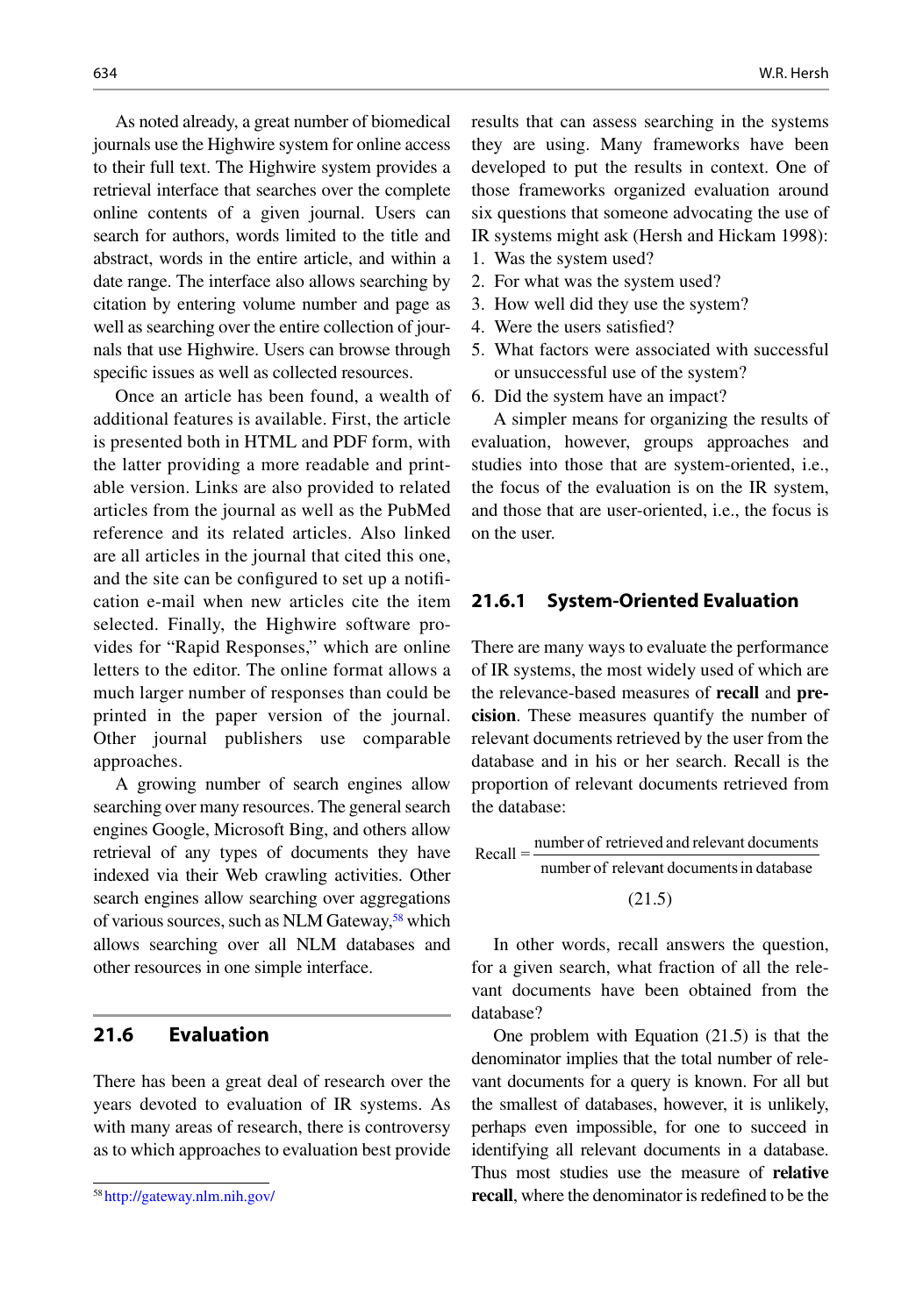As noted already, a great number of biomedical journals use the Highwire system for online access to their full text. The Highwire system provides a retrieval interface that searches over the complete online contents of a given journal. Users can search for authors, words limited to the title and abstract, words in the entire article, and within a date range. The interface also allows searching by citation by entering volume number and page as well as searching over the entire collection of journals that use Highwire. Users can browse through specific issues as well as collected resources.

Once an article has been found, a wealth of additional features is available. First, the article is presented both in HTML and PDF form, with the latter providing a more readable and printable version. Links are also provided to related articles from the journal as well as the PubMed reference and its related articles. Also linked are all articles in the journal that cited this one, and the site can be configured to set up a notification e-mail when new articles cite the item selected. Finally, the Highwire software provides for "Rapid Responses," which are online letters to the editor. The online format allows a much larger number of responses than could be printed in the paper version of the journal. Other journal publishers use comparable approaches.

A growing number of search engines allow searching over many resources. The general search engines Google, Microsoft Bing, and others allow retrieval of any types of documents they have indexed via their Web crawling activities. Other search engines allow searching over aggregations of various sources, such as NLM Gateway,<sup>58</sup> which allows searching over all NLM databases and other resources in one simple interface.

## **21.6 Evaluation**

There has been a great deal of research over the years devoted to evaluation of IR systems. As with many areas of research, there is controversy as to which approaches to evaluation best provide results that can assess searching in the systems they are using. Many frameworks have been developed to put the results in context. One of those frameworks organized evaluation around six questions that someone advocating the use of IR systems might ask (Hersh and Hickam 1998):

- 1. Was the system used?
- 2. For what was the system used?
- 3. How well did they use the system?
- 4. Were the users satisfied?
- 5. What factors were associated with successful or unsuccessful use of the system?
- 6. Did the system have an impact?

A simpler means for organizing the results of evaluation, however, groups approaches and studies into those that are system-oriented, i.e., the focus of the evaluation is on the IR system, and those that are user-oriented, i.e., the focus is on the user.

## **21.6.1 System-Oriented Evaluation**

There are many ways to evaluate the performance of IR systems, the most widely used of which are the relevance-based measures of **recall** and **precision**. These measures quantify the number of relevant documents retrieved by the user from the database and in his or her search. Recall is the proportion of relevant documents retrieved from the database:

 $Recall = \frac{number\ of\ retrieved\ and\ relevant\ documents}{}$ number of relevant documents in database (21.5)

In other words, recall answers the question, for a given search, what fraction of all the relevant documents have been obtained from the database?

One problem with Equation (21.5) is that the denominator implies that the total number of relevant documents for a query is known. For all but the smallest of databases, however, it is unlikely, perhaps even impossible, for one to succeed in identifying all relevant documents in a database. Thus most studies use the measure of **relative recall**, where the denominator is redefined to be the

<span id="page-21-0"></span><sup>58</sup> [http://gateway.nlm.nih.gov/](http://gateway.nlm.nih.gov/ )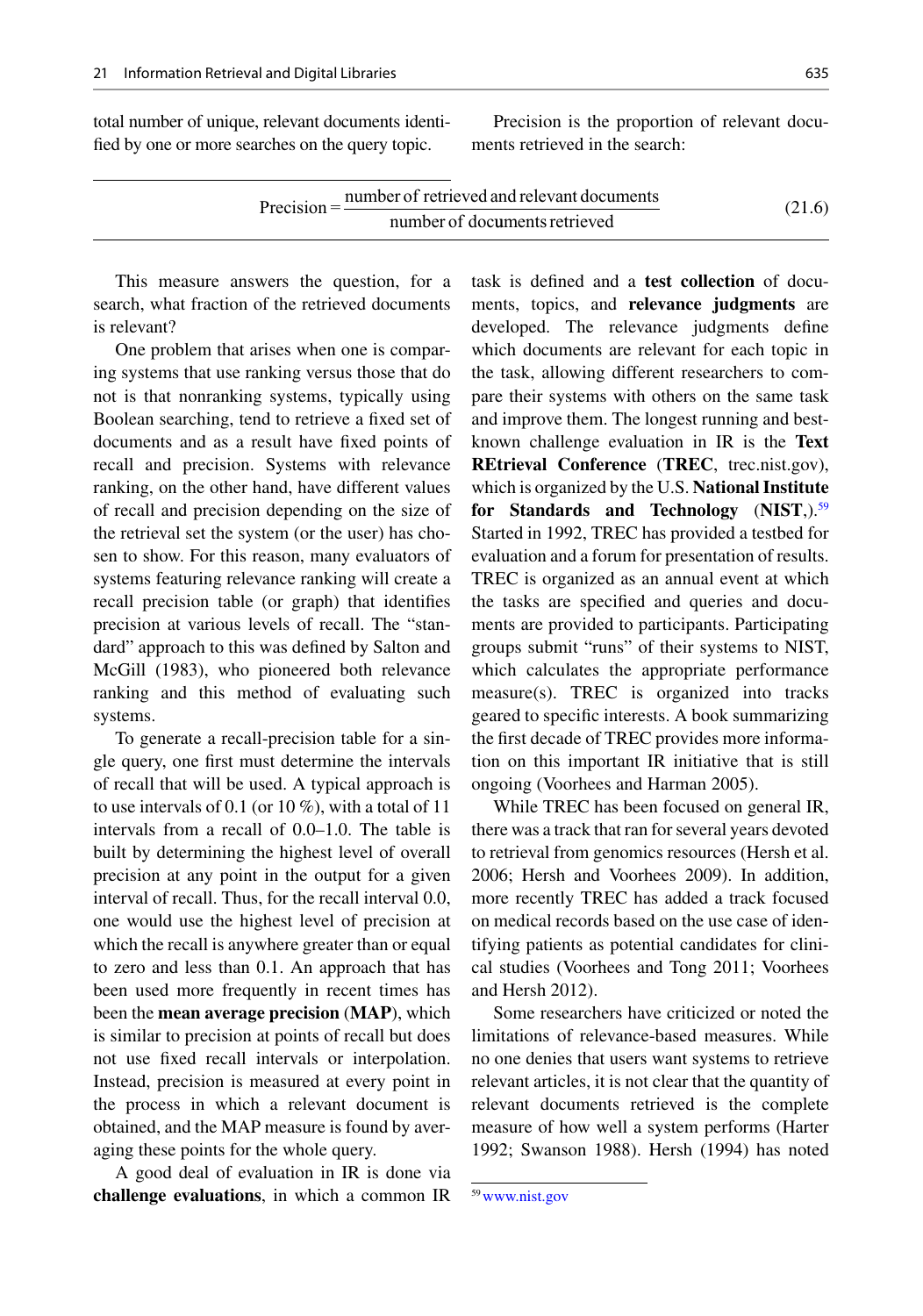total number of unique, relevant documents identified by one or more searches on the query topic.

Precision is the proportion of relevant documents retrieved in the search:

| number of retrieved and relevant documents<br>$Precision =$ $\frac{1}{1}$ | (21.6) |
|---------------------------------------------------------------------------|--------|
| number of documents retrieved                                             |        |

This measure answers the question, for a search, what fraction of the retrieved documents is relevant?

One problem that arises when one is comparing systems that use ranking versus those that do not is that nonranking systems, typically using Boolean searching, tend to retrieve a fixed set of documents and as a result have fixed points of recall and precision. Systems with relevance ranking, on the other hand, have different values of recall and precision depending on the size of the retrieval set the system (or the user) has chosen to show. For this reason, many evaluators of systems featuring relevance ranking will create a recall precision table (or graph) that identifies precision at various levels of recall. The "standard" approach to this was defined by Salton and McGill (1983), who pioneered both relevance ranking and this method of evaluating such systems.

To generate a recall-precision table for a single query, one first must determine the intervals of recall that will be used. A typical approach is to use intervals of 0.1 (or  $10\%$ ), with a total of 11 intervals from a recall of 0.0–1.0. The table is built by determining the highest level of overall precision at any point in the output for a given interval of recall. Thus, for the recall interval 0.0, one would use the highest level of precision at which the recall is anywhere greater than or equal to zero and less than 0.1. An approach that has been used more frequently in recent times has been the **mean average precision** (**MAP**), which is similar to precision at points of recall but does not use fixed recall intervals or interpolation. Instead, precision is measured at every point in the process in which a relevant document is obtained, and the MAP measure is found by averaging these points for the whole query.

A good deal of evaluation in IR is done via **challenge evaluations**, in which a common IR task is defined and a **test collection** of documents, topics, and **relevance judgments** are developed. The relevance judgments define which documents are relevant for each topic in the task, allowing different researchers to compare their systems with others on the same task and improve them. The longest running and bestknown challenge evaluation in IR is the **Text REtrieval Conference** (**TREC**, trec.nist.gov), which is organized by the U.S. **National Institute for Standards and Technology** (**NIST**,).[59](#page-22-0) Started in 1992, TREC has provided a testbed for evaluation and a forum for presentation of results. TREC is organized as an annual event at which the tasks are specified and queries and documents are provided to participants. Participating groups submit "runs" of their systems to NIST, which calculates the appropriate performance measure(s). TREC is organized into tracks geared to specific interests. A book summarizing the first decade of TREC provides more information on this important IR initiative that is still ongoing (Voorhees and Harman 2005).

While TREC has been focused on general IR, there was a track that ran for several years devoted to retrieval from genomics resources (Hersh et al. 2006; Hersh and Voorhees 2009). In addition, more recently TREC has added a track focused on medical records based on the use case of identifying patients as potential candidates for clinical studies (Voorhees and Tong 2011; Voorhees and Hersh 2012).

Some researchers have criticized or noted the limitations of relevance-based measures. While no one denies that users want systems to retrieve relevant articles, it is not clear that the quantity of relevant documents retrieved is the complete measure of how well a system performs (Harter 1992; Swanson 1988). Hersh (1994) has noted

<span id="page-22-0"></span><sup>59</sup>[www.nist.gov](http://www.nist.gov/ )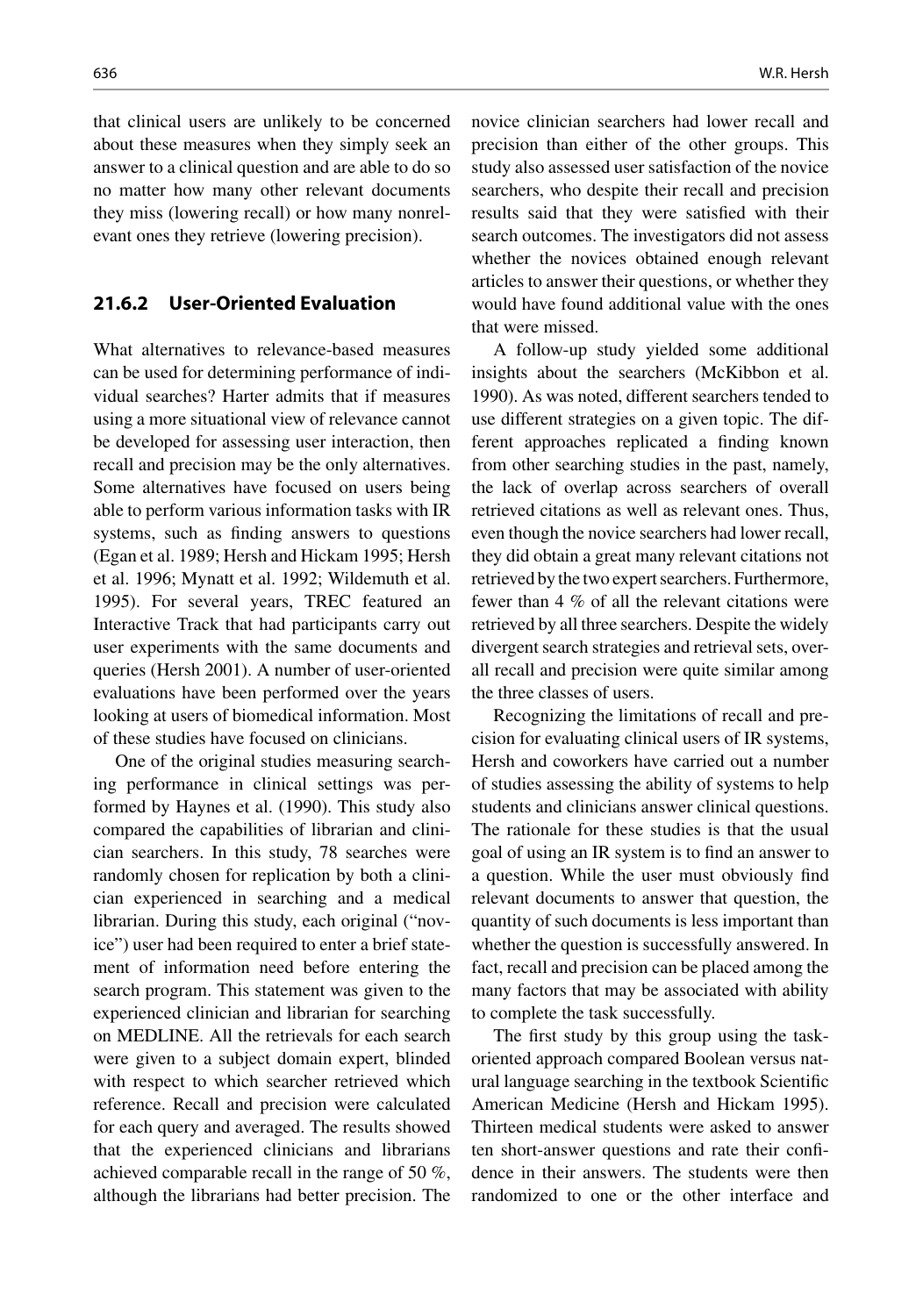that clinical users are unlikely to be concerned about these measures when they simply seek an answer to a clinical question and are able to do so no matter how many other relevant documents they miss (lowering recall) or how many nonrelevant ones they retrieve (lowering precision).

## **21.6.2 User-Oriented Evaluation**

What alternatives to relevance-based measures can be used for determining performance of individual searches? Harter admits that if measures using a more situational view of relevance cannot be developed for assessing user interaction, then recall and precision may be the only alternatives. Some alternatives have focused on users being able to perform various information tasks with IR systems, such as finding answers to questions (Egan et al. 1989; Hersh and Hickam 1995; Hersh et al. 1996; Mynatt et al. 1992; Wildemuth et al. 1995). For several years, TREC featured an Interactive Track that had participants carry out user experiments with the same documents and queries (Hersh 2001). A number of user-oriented evaluations have been performed over the years looking at users of biomedical information. Most of these studies have focused on clinicians.

One of the original studies measuring searching performance in clinical settings was performed by Haynes et al. (1990). This study also compared the capabilities of librarian and clinician searchers. In this study, 78 searches were randomly chosen for replication by both a clinician experienced in searching and a medical librarian. During this study, each original ("novice") user had been required to enter a brief statement of information need before entering the search program. This statement was given to the experienced clinician and librarian for searching on MEDLINE. All the retrievals for each search were given to a subject domain expert, blinded with respect to which searcher retrieved which reference. Recall and precision were calculated for each query and averaged. The results showed that the experienced clinicians and librarians achieved comparable recall in the range of 50 %, although the librarians had better precision. The

novice clinician searchers had lower recall and precision than either of the other groups. This study also assessed user satisfaction of the novice searchers, who despite their recall and precision results said that they were satisfied with their search outcomes. The investigators did not assess whether the novices obtained enough relevant articles to answer their questions, or whether they would have found additional value with the ones that were missed.

A follow-up study yielded some additional insights about the searchers (McKibbon et al. 1990). As was noted, different searchers tended to use different strategies on a given topic. The different approaches replicated a finding known from other searching studies in the past, namely, the lack of overlap across searchers of overall retrieved citations as well as relevant ones. Thus, even though the novice searchers had lower recall, they did obtain a great many relevant citations not retrieved by the two expert searchers. Furthermore, fewer than 4 % of all the relevant citations were retrieved by all three searchers. Despite the widely divergent search strategies and retrieval sets, overall recall and precision were quite similar among the three classes of users.

Recognizing the limitations of recall and precision for evaluating clinical users of IR systems, Hersh and coworkers have carried out a number of studies assessing the ability of systems to help students and clinicians answer clinical questions. The rationale for these studies is that the usual goal of using an IR system is to find an answer to a question. While the user must obviously find relevant documents to answer that question, the quantity of such documents is less important than whether the question is successfully answered. In fact, recall and precision can be placed among the many factors that may be associated with ability to complete the task successfully.

The first study by this group using the taskoriented approach compared Boolean versus natural language searching in the textbook Scientific American Medicine (Hersh and Hickam 1995). Thirteen medical students were asked to answer ten short-answer questions and rate their confidence in their answers. The students were then randomized to one or the other interface and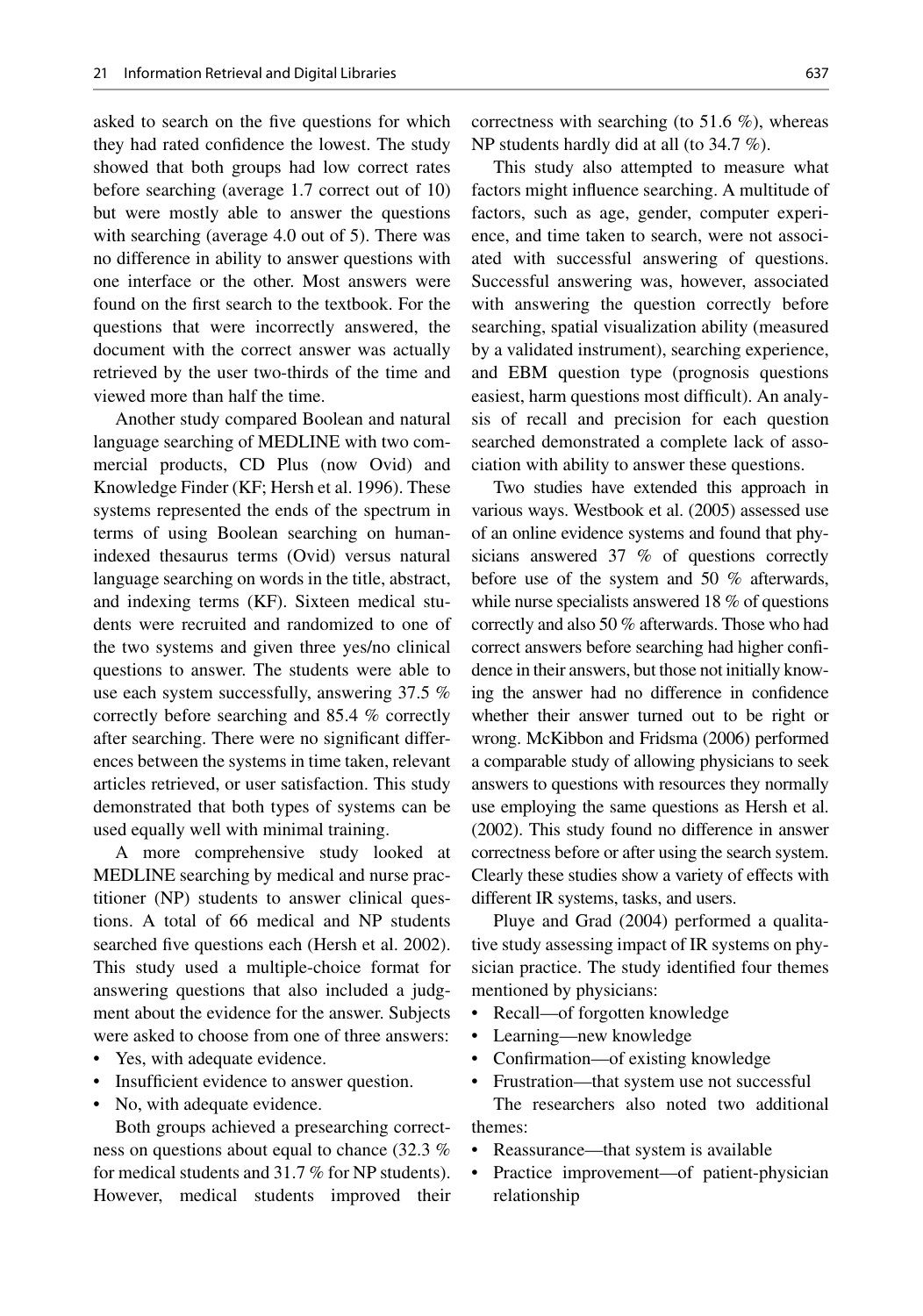asked to search on the five questions for which they had rated confidence the lowest. The study showed that both groups had low correct rates before searching (average 1.7 correct out of 10) but were mostly able to answer the questions with searching (average 4.0 out of 5). There was no difference in ability to answer questions with one interface or the other. Most answers were found on the first search to the textbook. For the questions that were incorrectly answered, the document with the correct answer was actually retrieved by the user two-thirds of the time and viewed more than half the time.

Another study compared Boolean and natural language searching of MEDLINE with two commercial products, CD Plus (now Ovid) and Knowledge Finder (KF; Hersh et al. 1996). These systems represented the ends of the spectrum in terms of using Boolean searching on humanindexed thesaurus terms (Ovid) versus natural language searching on words in the title, abstract, and indexing terms (KF). Sixteen medical students were recruited and randomized to one of the two systems and given three yes/no clinical questions to answer. The students were able to use each system successfully, answering 37.5 % correctly before searching and 85.4 % correctly after searching. There were no significant differences between the systems in time taken, relevant articles retrieved, or user satisfaction. This study demonstrated that both types of systems can be used equally well with minimal training.

A more comprehensive study looked at MEDLINE searching by medical and nurse practitioner (NP) students to answer clinical questions. A total of 66 medical and NP students searched five questions each (Hersh et al. 2002). This study used a multiple-choice format for answering questions that also included a judgment about the evidence for the answer. Subjects were asked to choose from one of three answers:

- Yes, with adequate evidence.
- Insufficient evidence to answer question.
- No, with adequate evidence.

Both groups achieved a presearching correctness on questions about equal to chance (32.3 % for medical students and 31.7 % for NP students). However, medical students improved their correctness with searching (to 51.6 %), whereas NP students hardly did at all (to 34.7 %).

This study also attempted to measure what factors might influence searching. A multitude of factors, such as age, gender, computer experience, and time taken to search, were not associated with successful answering of questions. Successful answering was, however, associated with answering the question correctly before searching, spatial visualization ability (measured by a validated instrument), searching experience, and EBM question type (prognosis questions easiest, harm questions most difficult). An analysis of recall and precision for each question searched demonstrated a complete lack of association with ability to answer these questions.

Two studies have extended this approach in various ways. Westbook et al. (2005) assessed use of an online evidence systems and found that physicians answered 37 % of questions correctly before use of the system and 50 % afterwards, while nurse specialists answered 18 % of questions correctly and also 50 % afterwards. Those who had correct answers before searching had higher confidence in their answers, but those not initially knowing the answer had no difference in confidence whether their answer turned out to be right or wrong. McKibbon and Fridsma (2006) performed a comparable study of allowing physicians to seek answers to questions with resources they normally use employing the same questions as Hersh et al. (2002). This study found no difference in answer correctness before or after using the search system. Clearly these studies show a variety of effects with different IR systems, tasks, and users.

Pluye and Grad (2004) performed a qualitative study assessing impact of IR systems on physician practice. The study identified four themes mentioned by physicians:

- Recall—of forgotten knowledge
- Learning—new knowledge
- Confirmation—of existing knowledge
- Frustration—that system use not successful

The researchers also noted two additional themes:

- Reassurance—that system is available
- Practice improvement—of patient-physician relationship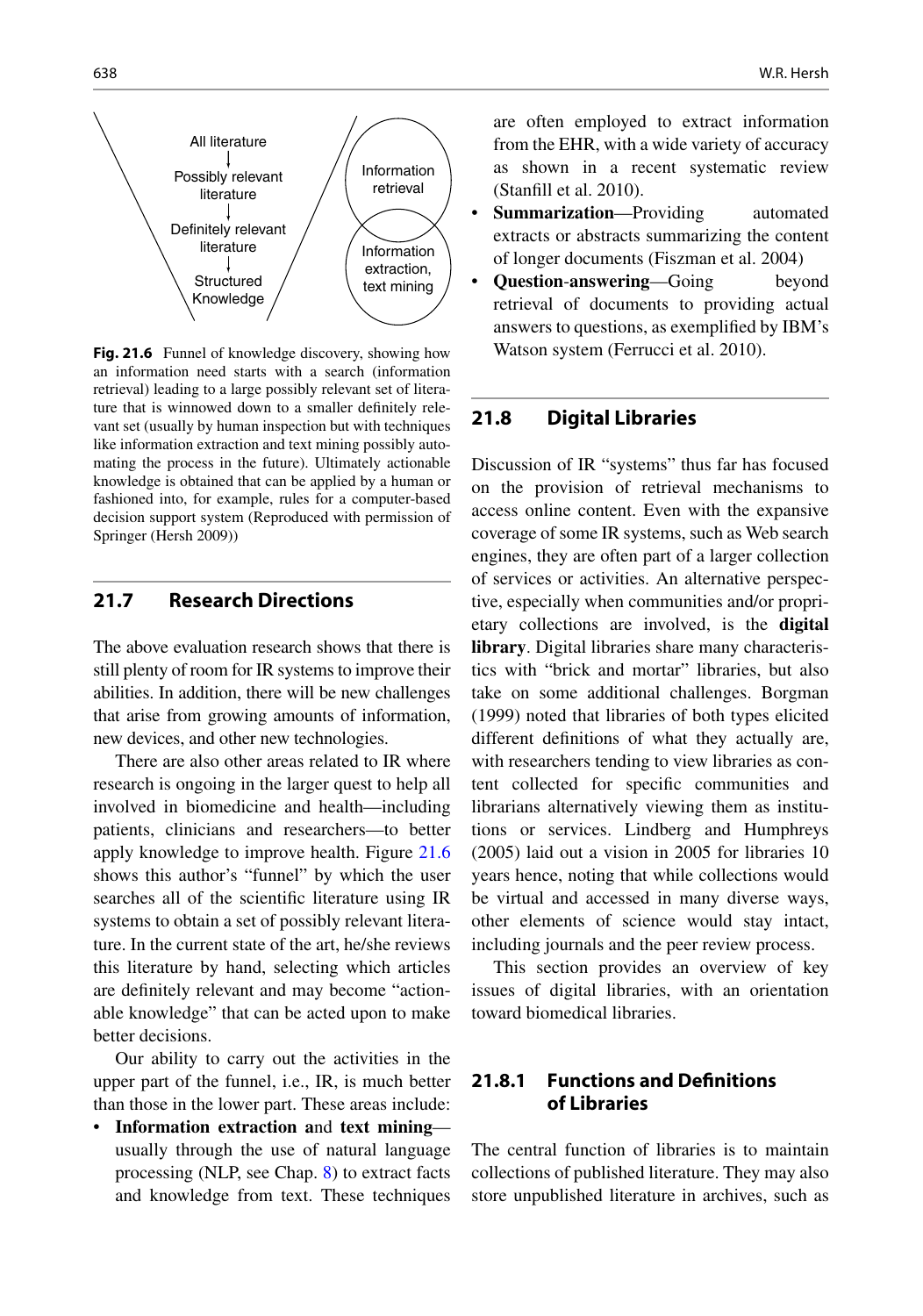<span id="page-25-0"></span>

Fig. 21.6 Funnel of knowledge discovery, showing how an information need starts with a search (information retrieval) leading to a large possibly relevant set of literature that is winnowed down to a smaller definitely relevant set (usually by human inspection but with techniques like information extraction and text mining possibly automating the process in the future). Ultimately actionable knowledge is obtained that can be applied by a human or fashioned into, for example, rules for a computer-based decision support system (Reproduced with permission of Springer (Hersh 2009))

## **21.7 Research Directions**

The above evaluation research shows that there is still plenty of room for IR systems to improve their abilities. In addition, there will be new challenges that arise from growing amounts of information, new devices, and other new technologies.

There are also other areas related to IR where research is ongoing in the larger quest to help all involved in biomedicine and health—including patients, clinicians and researchers—to better apply knowledge to improve health. Figure [21.6](#page-25-0) shows this author's "funnel" by which the user searches all of the scientific literature using IR systems to obtain a set of possibly relevant literature. In the current state of the art, he/she reviews this literature by hand, selecting which articles are definitely relevant and may become "actionable knowledge" that can be acted upon to make better decisions.

Our ability to carry out the activities in the upper part of the funnel, i.e., IR, is much better than those in the lower part. These areas include:

• **Information extraction a**nd **text mining** usually through the use of natural language processing (NLP, see Chap. [8\)](http://dx.doi.org/10.1007/978-1-4471-4474-8_8) to extract facts and knowledge from text. These techniques are often employed to extract information from the EHR, with a wide variety of accuracy as shown in a recent systematic review (Stanfill et al. 2010).

- **Summarization**—Providing automated extracts or abstracts summarizing the content of longer documents (Fiszman et al. 2004)
- **Question-answering—Going** beyond retrieval of documents to providing actual answers to questions, as exemplified by IBM's Watson system (Ferrucci et al. 2010).

# **21.8 Digital Libraries**

Discussion of IR "systems" thus far has focused on the provision of retrieval mechanisms to access online content. Even with the expansive coverage of some IR systems, such as Web search engines, they are often part of a larger collection of services or activities. An alternative perspective, especially when communities and/or proprietary collections are involved, is the **digital library**. Digital libraries share many characteristics with "brick and mortar" libraries, but also take on some additional challenges. Borgman (1999) noted that libraries of both types elicited different definitions of what they actually are, with researchers tending to view libraries as content collected for specific communities and librarians alternatively viewing them as institutions or services. Lindberg and Humphreys (2005) laid out a vision in 2005 for libraries 10 years hence, noting that while collections would be virtual and accessed in many diverse ways, other elements of science would stay intact, including journals and the peer review process.

This section provides an overview of key issues of digital libraries, with an orientation toward biomedical libraries.

# **21.8.1 Functions and Definitions of Libraries**

The central function of libraries is to maintain collections of published literature. They may also store unpublished literature in archives, such as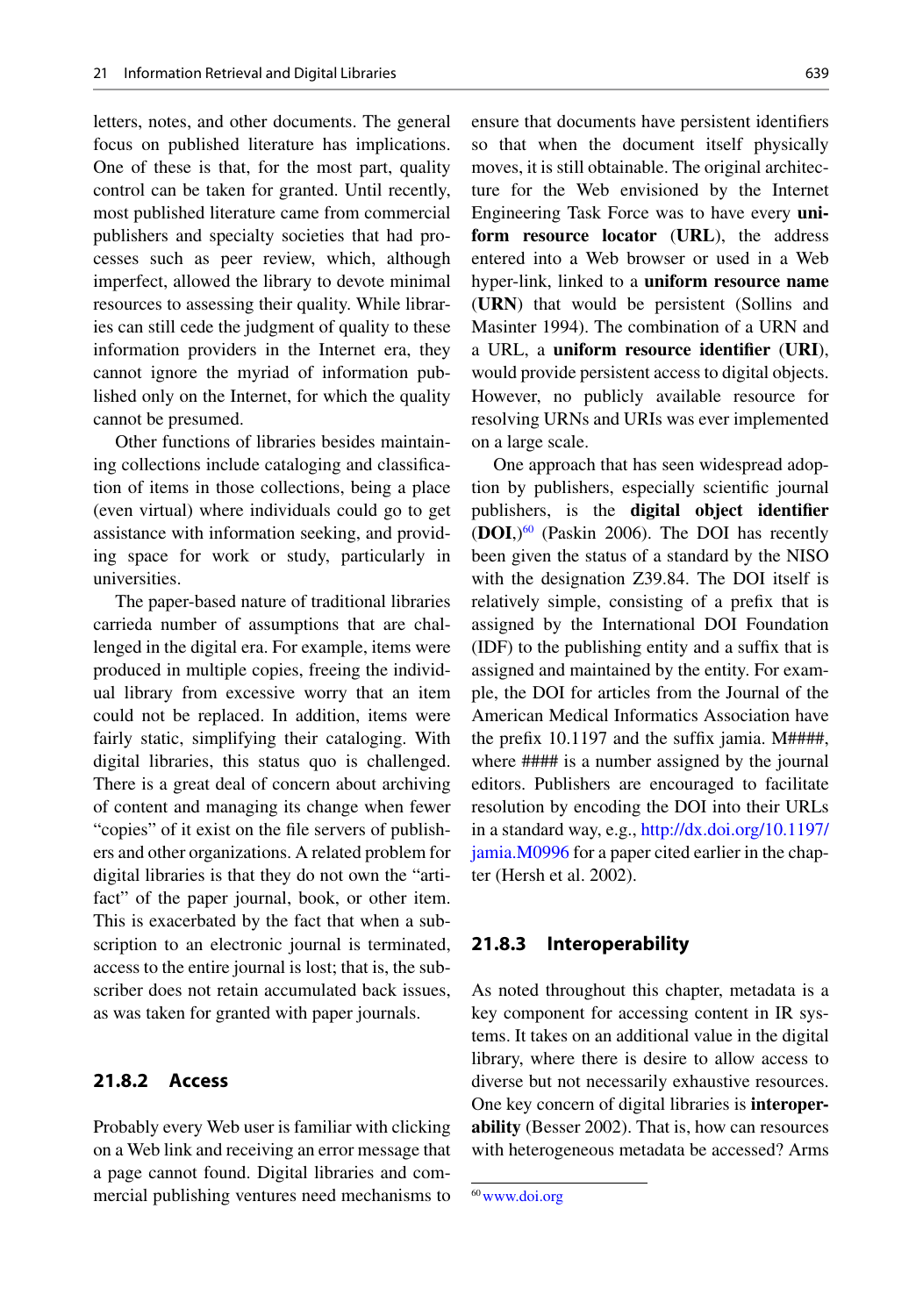letters, notes, and other documents. The general focus on published literature has implications. One of these is that, for the most part, quality control can be taken for granted. Until recently, most published literature came from commercial publishers and specialty societies that had processes such as peer review, which, although imperfect, allowed the library to devote minimal resources to assessing their quality. While libraries can still cede the judgment of quality to these information providers in the Internet era, they cannot ignore the myriad of information published only on the Internet, for which the quality cannot be presumed.

Other functions of libraries besides maintaining collections include cataloging and classification of items in those collections, being a place (even virtual) where individuals could go to get assistance with information seeking, and providing space for work or study, particularly in universities.

The paper-based nature of traditional libraries carrieda number of assumptions that are challenged in the digital era. For example, items were produced in multiple copies, freeing the individual library from excessive worry that an item could not be replaced. In addition, items were fairly static, simplifying their cataloging. With digital libraries, this status quo is challenged. There is a great deal of concern about archiving of content and managing its change when fewer "copies" of it exist on the file servers of publishers and other organizations. A related problem for digital libraries is that they do not own the "artifact" of the paper journal, book, or other item. This is exacerbated by the fact that when a subscription to an electronic journal is terminated, access to the entire journal is lost; that is, the subscriber does not retain accumulated back issues, as was taken for granted with paper journals.

## **21.8.2 Access**

Probably every Web user is familiar with clicking on a Web link and receiving an error message that a page cannot found. Digital libraries and commercial publishing ventures need mechanisms to ensure that documents have persistent identifiers so that when the document itself physically moves, it is still obtainable. The original architecture for the Web envisioned by the Internet Engineering Task Force was to have every **uniform resource locator** (**URL**), the address entered into a Web browser or used in a Web hyper-link, linked to a **uniform resource name** (**URN**) that would be persistent (Sollins and Masinter 1994). The combination of a URN and a URL, a **uniform resource identifier** (**URI**), would provide persistent access to digital objects. However, no publicly available resource for resolving URNs and URIs was ever implemented on a large scale.

One approach that has seen widespread adoption by publishers, especially scientific journal publishers, is the **digital object identifier** (**DOI**,)<sup>60</sup> (Paskin 2006). The DOI has recently been given the status of a standard by the NISO with the designation Z39.84. The DOI itself is relatively simple, consisting of a prefix that is assigned by the International DOI Foundation (IDF) to the publishing entity and a suffix that is assigned and maintained by the entity. For example, the DOI for articles from the Journal of the American Medical Informatics Association have the prefix 10.1197 and the suffix jamia. M####, where #### is a number assigned by the journal editors. Publishers are encouraged to facilitate resolution by encoding the DOI into their URLs in a standard way, e.g., [http://dx.doi.org/10.1197/](http://dx.doi.org/10.1197/jamia.M0996) [jamia.M0996](http://dx.doi.org/10.1197/jamia.M0996) for a paper cited earlier in the chapter (Hersh et al. 2002).

#### **21.8.3 Interoperability**

As noted throughout this chapter, metadata is a key component for accessing content in IR systems. It takes on an additional value in the digital library, where there is desire to allow access to diverse but not necessarily exhaustive resources. One key concern of digital libraries is **interoperability** (Besser 2002). That is, how can resources with heterogeneous metadata be accessed? Arms

<span id="page-26-0"></span><sup>60</sup>[www.doi.org](http://www.doi.org/ )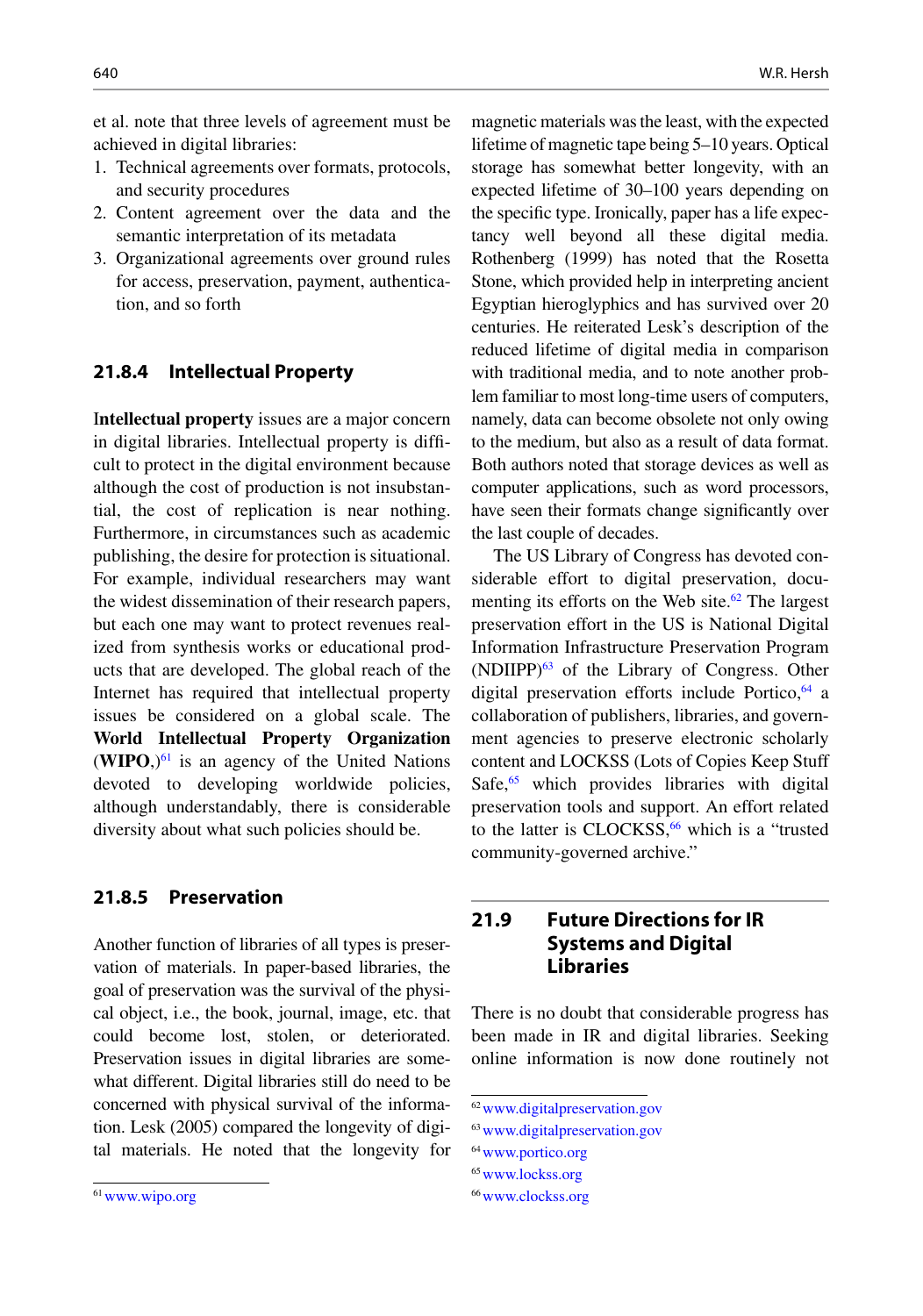et al. note that three levels of agreement must be achieved in digital libraries:

- 1. Technical agreements over formats, protocols, and security procedures
- 2. Content agreement over the data and the semantic interpretation of its metadata
- 3. Organizational agreements over ground rules for access, preservation, payment, authentication, and so forth

## **21.8.4 Intellectual Property**

I**ntellectual property** issues are a major concern in digital libraries. Intellectual property is difficult to protect in the digital environment because although the cost of production is not insubstantial, the cost of replication is near nothing. Furthermore, in circumstances such as academic publishing, the desire for protection is situational. For example, individual researchers may want the widest dissemination of their research papers, but each one may want to protect revenues realized from synthesis works or educational products that are developed. The global reach of the Internet has required that intellectual property issues be considered on a global scale. The **World Intellectual Property Organization**  $(WIPO<sub>1</sub>)<sup>61</sup>$  is an agency of the United Nations devoted to developing worldwide policies, although understandably, there is considerable diversity about what such policies should be.

## **21.8.5 Preservation**

Another function of libraries of all types is preservation of materials. In paper-based libraries, the goal of preservation was the survival of the physical object, i.e., the book, journal, image, etc. that could become lost, stolen, or deteriorated. Preservation issues in digital libraries are somewhat different. Digital libraries still do need to be concerned with physical survival of the information. Lesk (2005) compared the longevity of digital materials. He noted that the longevity for

<span id="page-27-0"></span>61[www.wipo.org](http://www.wipo.org/ )

magnetic materials was the least, with the expected lifetime of magnetic tape being 5–10 years. Optical storage has somewhat better longevity, with an expected lifetime of 30–100 years depending on the specific type. Ironically, paper has a life expectancy well beyond all these digital media. Rothenberg (1999) has noted that the Rosetta Stone, which provided help in interpreting ancient Egyptian hieroglyphics and has survived over 20 centuries. He reiterated Lesk's description of the reduced lifetime of digital media in comparison with traditional media, and to note another problem familiar to most long-time users of computers, namely, data can become obsolete not only owing to the medium, but also as a result of data format. Both authors noted that storage devices as well as computer applications, such as word processors, have seen their formats change significantly over the last couple of decades.

The US Library of Congress has devoted considerable effort to digital preservation, documenting its efforts on the Web site. $62$  The largest preservation effort in the US is National Digital Information Infrastructure Preservation Program (NDIIPP)<sup>63</sup> of the Library of Congress. Other digital preservation efforts include Portico, $64$  a collaboration of publishers, libraries, and government agencies to preserve electronic scholarly content and LOCKSS (Lots of Copies Keep Stuff Safe, $65$  which provides libraries with digital preservation tools and support. An effort related to the latter is  $CLOCKSS$ ,<sup>66</sup> which is a "trusted community-governed archive."

# **21.9 Future Directions for IR Systems and Digital Libraries**

There is no doubt that considerable progress has been made in IR and digital libraries. Seeking online information is now done routinely not

<span id="page-27-1"></span><sup>62</sup>[www.digitalpreservation.gov](http://www.digitalpreservation.gov/ )

<span id="page-27-2"></span><sup>63</sup>[www.digitalpreservation.gov](http://www.digitalpreservation.gov/ )

<span id="page-27-3"></span><sup>64</sup>[www.portico.org](http://www.portico.org/ )

<span id="page-27-4"></span><sup>65</sup>[www.lockss.org](http://www.lockss.org/ )

<span id="page-27-5"></span><sup>66</sup>[www.clockss.org](http://www.clockss.org/ )